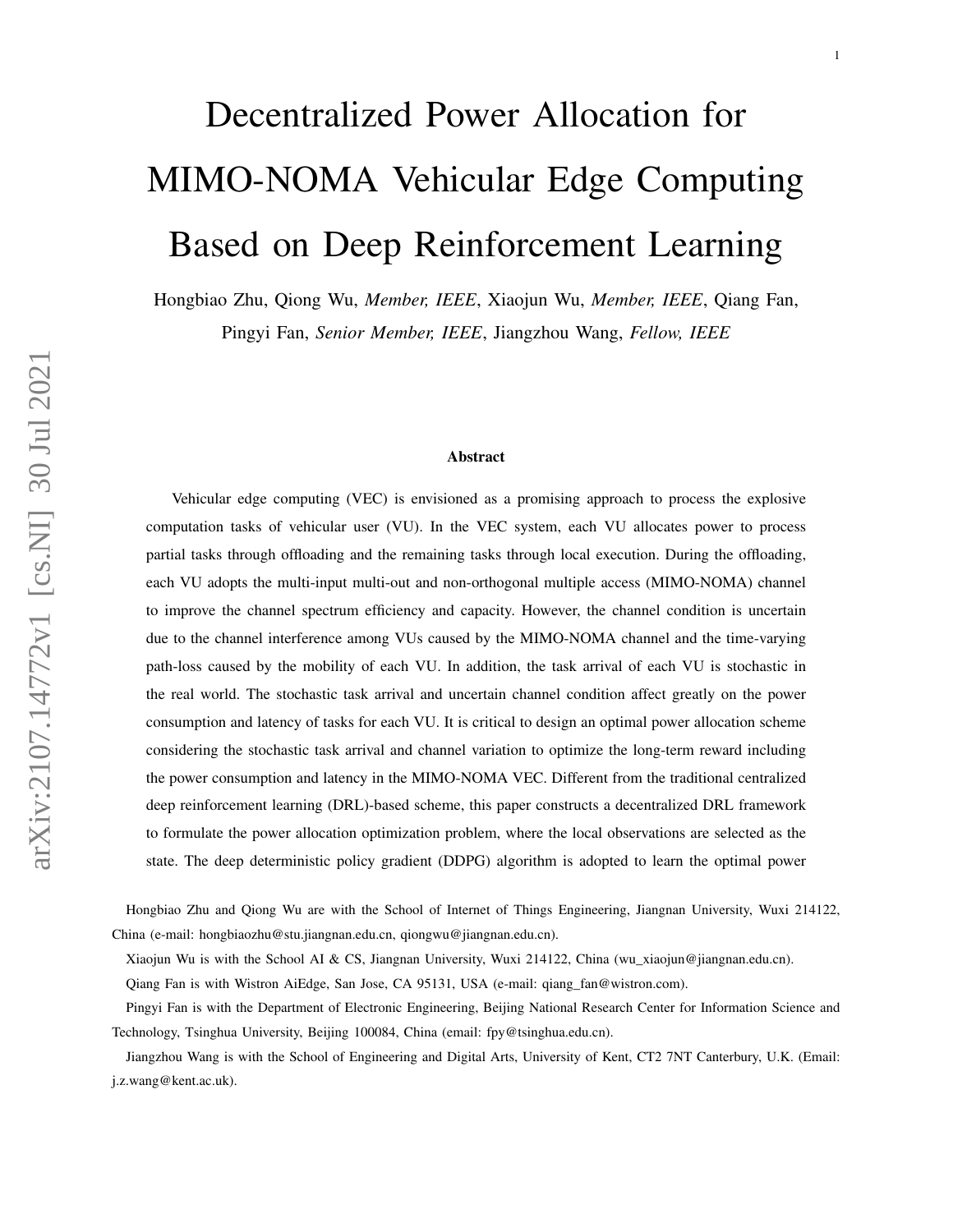# Decentralized Power Allocation for MIMO-NOMA Vehicular Edge Computing Based on Deep Reinforcement Learning

Hongbiao Zhu, Qiong Wu, *Member, IEEE*, Xiaojun Wu, *Member, IEEE*, Qiang Fan, Pingyi Fan, *Senior Member, IEEE*, Jiangzhou Wang, *Fellow, IEEE*

#### Abstract

Vehicular edge computing (VEC) is envisioned as a promising approach to process the explosive computation tasks of vehicular user (VU). In the VEC system, each VU allocates power to process partial tasks through offloading and the remaining tasks through local execution. During the offloading, each VU adopts the multi-input multi-out and non-orthogonal multiple access (MIMO-NOMA) channel to improve the channel spectrum efficiency and capacity. However, the channel condition is uncertain due to the channel interference among VUs caused by the MIMO-NOMA channel and the time-varying path-loss caused by the mobility of each VU. In addition, the task arrival of each VU is stochastic in the real world. The stochastic task arrival and uncertain channel condition affect greatly on the power consumption and latency of tasks for each VU. It is critical to design an optimal power allocation scheme considering the stochastic task arrival and channel variation to optimize the long-term reward including the power consumption and latency in the MIMO-NOMA VEC. Different from the traditional centralized deep reinforcement learning (DRL)-based scheme, this paper constructs a decentralized DRL framework to formulate the power allocation optimization problem, where the local observations are selected as the state. The deep deterministic policy gradient (DDPG) algorithm is adopted to learn the optimal power

Hongbiao Zhu and Qiong Wu are with the School of Internet of Things Engineering, Jiangnan University, Wuxi 214122, China (e-mail: hongbiaozhu@stu.jiangnan.edu.cn, qiongwu@jiangnan.edu.cn).

Xiaojun Wu is with the School AI & CS, Jiangnan University, Wuxi 214122, China (wu\_xiaojun@jiangnan.edu.cn).

Qiang Fan is with Wistron AiEdge, San Jose, CA 95131, USA (e-mail: qiang\_fan@wistron.com).

Pingyi Fan is with the Department of Electronic Engineering, Beijing National Research Center for Information Science and Technology, Tsinghua University, Beijing 100084, China (email: fpy@tsinghua.edu.cn).

Jiangzhou Wang is with the School of Engineering and Digital Arts, University of Kent, CT2 7NT Canterbury, U.K. (Email: j.z.wang@kent.ac.uk).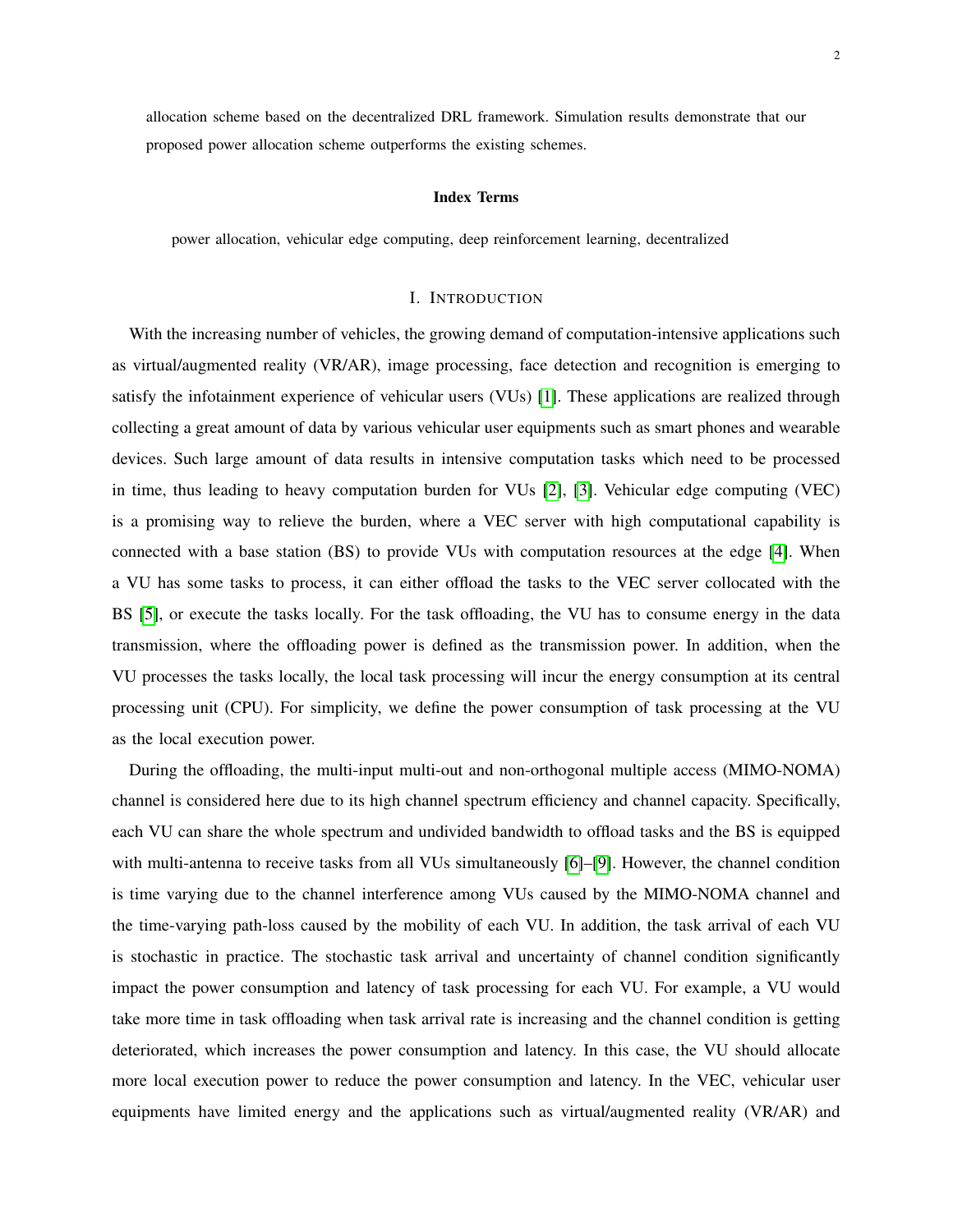allocation scheme based on the decentralized DRL framework. Simulation results demonstrate that our proposed power allocation scheme outperforms the existing schemes.

## Index Terms

power allocation, vehicular edge computing, deep reinforcement learning, decentralized

# I. INTRODUCTION

With the increasing number of vehicles, the growing demand of computation-intensive applications such as virtual/augmented reality (VR/AR), image processing, face detection and recognition is emerging to satisfy the infotainment experience of vehicular users (VUs) [\[1\]](#page-23-0). These applications are realized through collecting a great amount of data by various vehicular user equipments such as smart phones and wearable devices. Such large amount of data results in intensive computation tasks which need to be processed in time, thus leading to heavy computation burden for VUs [\[2\]](#page-23-1), [\[3\]](#page-23-2). Vehicular edge computing (VEC) is a promising way to relieve the burden, where a VEC server with high computational capability is connected with a base station (BS) to provide VUs with computation resources at the edge [\[4\]](#page-23-3). When a VU has some tasks to process, it can either offload the tasks to the VEC server collocated with the BS [\[5\]](#page-23-4), or execute the tasks locally. For the task offloading, the VU has to consume energy in the data transmission, where the offloading power is defined as the transmission power. In addition, when the VU processes the tasks locally, the local task processing will incur the energy consumption at its central processing unit (CPU). For simplicity, we define the power consumption of task processing at the VU as the local execution power.

During the offloading, the multi-input multi-out and non-orthogonal multiple access (MIMO-NOMA) channel is considered here due to its high channel spectrum efficiency and channel capacity. Specifically, each VU can share the whole spectrum and undivided bandwidth to offload tasks and the BS is equipped with multi-antenna to receive tasks from all VUs simultaneously [\[6\]](#page-23-5)–[\[9\]](#page-23-6). However, the channel condition is time varying due to the channel interference among VUs caused by the MIMO-NOMA channel and the time-varying path-loss caused by the mobility of each VU. In addition, the task arrival of each VU is stochastic in practice. The stochastic task arrival and uncertainty of channel condition significantly impact the power consumption and latency of task processing for each VU. For example, a VU would take more time in task offloading when task arrival rate is increasing and the channel condition is getting deteriorated, which increases the power consumption and latency. In this case, the VU should allocate more local execution power to reduce the power consumption and latency. In the VEC, vehicular user equipments have limited energy and the applications such as virtual/augmented reality (VR/AR) and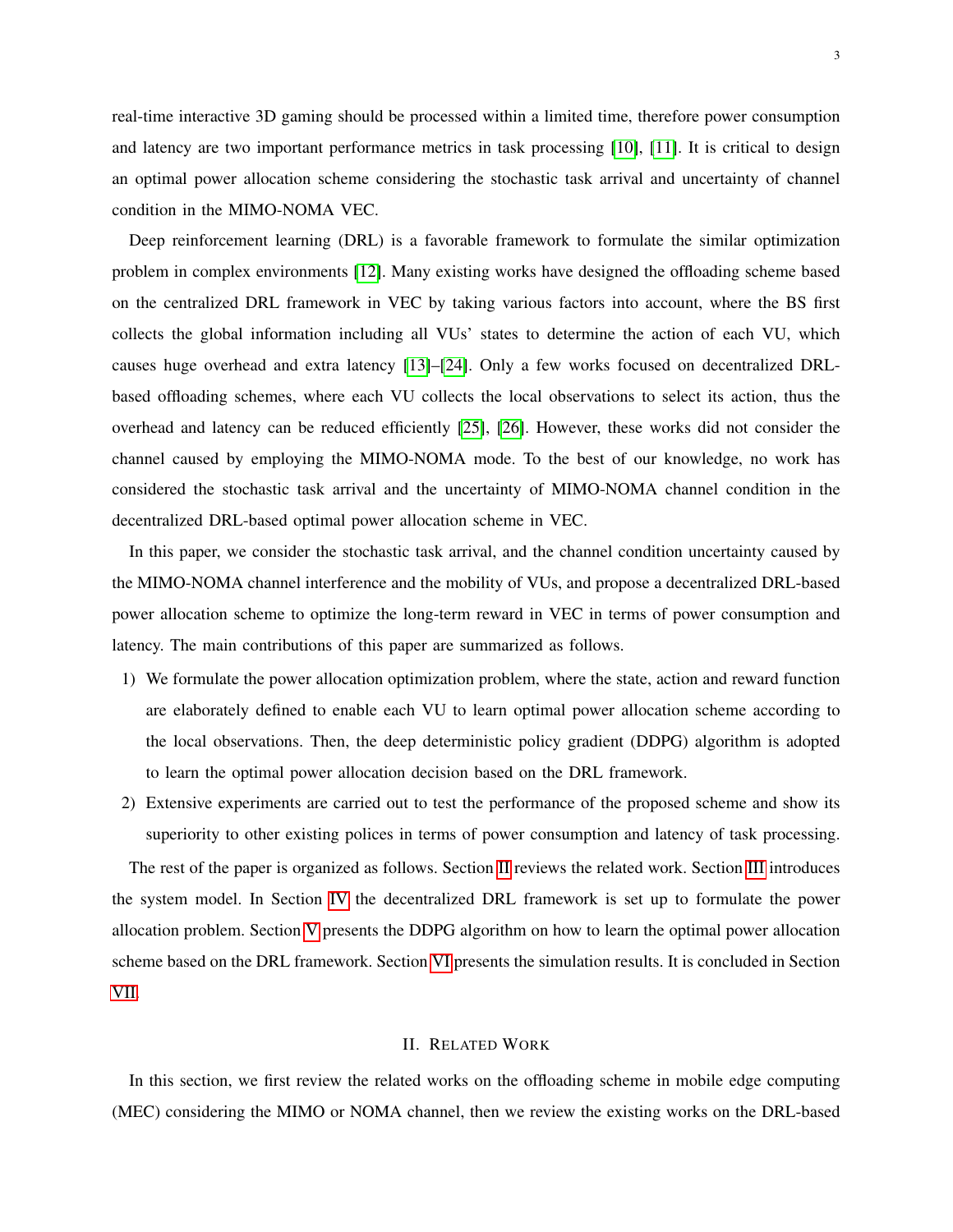real-time interactive 3D gaming should be processed within a limited time, therefore power consumption and latency are two important performance metrics in task processing [\[10\]](#page-23-7), [\[11\]](#page-23-8). It is critical to design an optimal power allocation scheme considering the stochastic task arrival and uncertainty of channel condition in the MIMO-NOMA VEC.

Deep reinforcement learning (DRL) is a favorable framework to formulate the similar optimization problem in complex environments [\[12\]](#page-23-9). Many existing works have designed the offloading scheme based on the centralized DRL framework in VEC by taking various factors into account, where the BS first collects the global information including all VUs' states to determine the action of each VU, which causes huge overhead and extra latency [\[13\]](#page-23-10)–[\[24\]](#page-24-0). Only a few works focused on decentralized DRLbased offloading schemes, where each VU collects the local observations to select its action, thus the overhead and latency can be reduced efficiently [\[25\]](#page-24-1), [\[26\]](#page-24-2). However, these works did not consider the channel caused by employing the MIMO-NOMA mode. To the best of our knowledge, no work has considered the stochastic task arrival and the uncertainty of MIMO-NOMA channel condition in the decentralized DRL-based optimal power allocation scheme in VEC.

In this paper, we consider the stochastic task arrival, and the channel condition uncertainty caused by the MIMO-NOMA channel interference and the mobility of VUs, and propose a decentralized DRL-based power allocation scheme to optimize the long-term reward in VEC in terms of power consumption and latency. The main contributions of this paper are summarized as follows.

- 1) We formulate the power allocation optimization problem, where the state, action and reward function are elaborately defined to enable each VU to learn optimal power allocation scheme according to the local observations. Then, the deep deterministic policy gradient (DDPG) algorithm is adopted to learn the optimal power allocation decision based on the DRL framework.
- 2) Extensive experiments are carried out to test the performance of the proposed scheme and show its superiority to other existing polices in terms of power consumption and latency of task processing.

The rest of the paper is organized as follows. Section [II](#page-2-0) reviews the related work. Section [III](#page-4-0) introduces the system model. In Section [IV](#page-10-0) the decentralized DRL framework is set up to formulate the power allocation problem. Section [V](#page-11-0) presents the DDPG algorithm on how to learn the optimal power allocation scheme based on the DRL framework. Section [VI](#page-16-0) presents the simulation results. It is concluded in Section [VII.](#page-22-0)

# II. RELATED WORK

<span id="page-2-0"></span>In this section, we first review the related works on the offloading scheme in mobile edge computing (MEC) considering the MIMO or NOMA channel, then we review the existing works on the DRL-based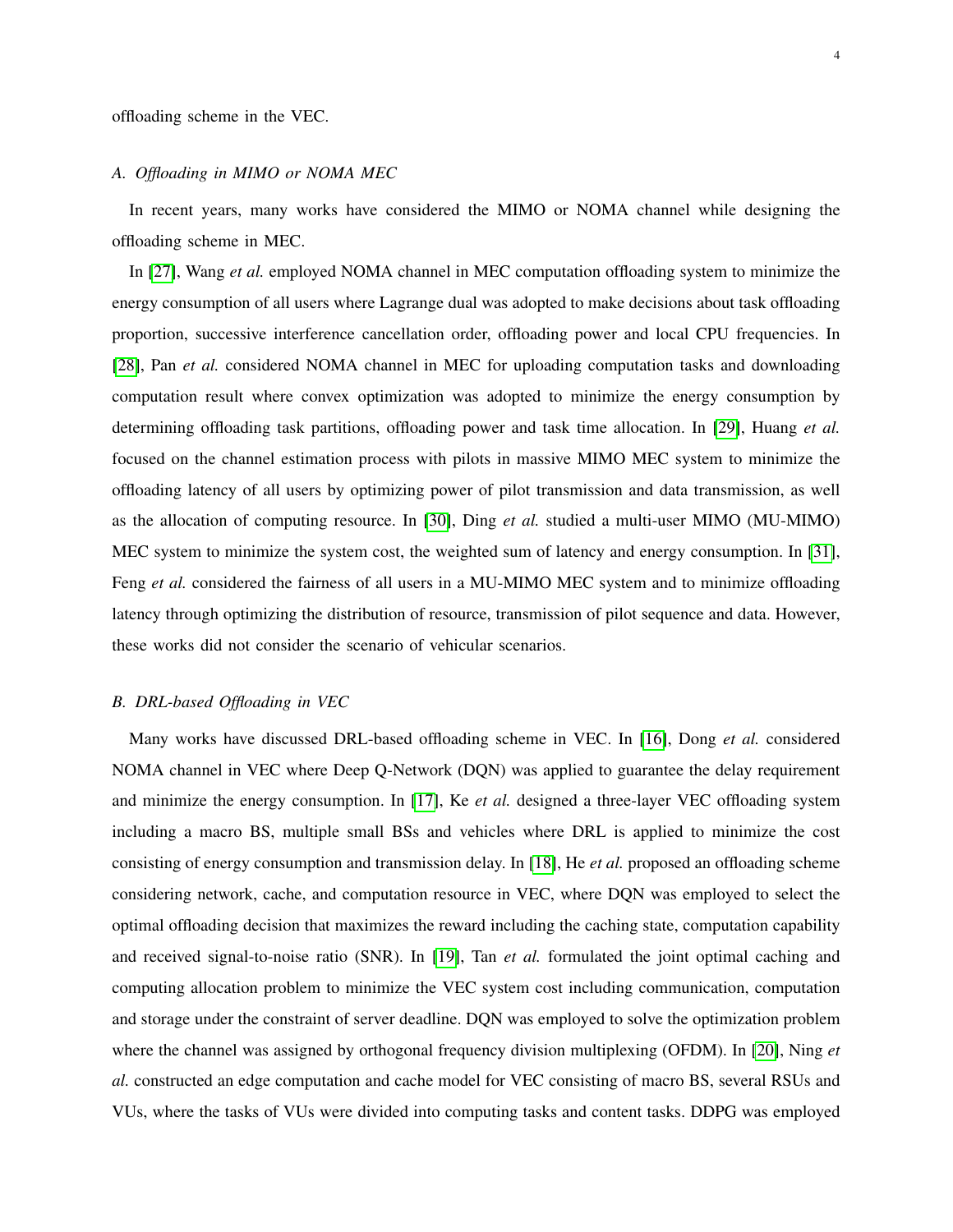# *A. Offloading in MIMO or NOMA MEC*

In recent years, many works have considered the MIMO or NOMA channel while designing the offloading scheme in MEC.

In [\[27\]](#page-24-3), Wang *et al.* employed NOMA channel in MEC computation offloading system to minimize the energy consumption of all users where Lagrange dual was adopted to make decisions about task offloading proportion, successive interference cancellation order, offloading power and local CPU frequencies. In [\[28\]](#page-24-4), Pan *et al.* considered NOMA channel in MEC for uploading computation tasks and downloading computation result where convex optimization was adopted to minimize the energy consumption by determining offloading task partitions, offloading power and task time allocation. In [\[29\]](#page-24-5), Huang *et al.* focused on the channel estimation process with pilots in massive MIMO MEC system to minimize the offloading latency of all users by optimizing power of pilot transmission and data transmission, as well as the allocation of computing resource. In [\[30\]](#page-24-6), Ding *et al.* studied a multi-user MIMO (MU-MIMO) MEC system to minimize the system cost, the weighted sum of latency and energy consumption. In [\[31\]](#page-24-7), Feng *et al.* considered the fairness of all users in a MU-MIMO MEC system and to minimize offloading latency through optimizing the distribution of resource, transmission of pilot sequence and data. However, these works did not consider the scenario of vehicular scenarios.

# *B. DRL-based Offloading in VEC*

Many works have discussed DRL-based offloading scheme in VEC. In [\[16\]](#page-23-11), Dong *et al.* considered NOMA channel in VEC where Deep Q-Network (DQN) was applied to guarantee the delay requirement and minimize the energy consumption. In [\[17\]](#page-23-12), Ke *et al.* designed a three-layer VEC offloading system including a macro BS, multiple small BSs and vehicles where DRL is applied to minimize the cost consisting of energy consumption and transmission delay. In [\[18\]](#page-23-13), He *et al.* proposed an offloading scheme considering network, cache, and computation resource in VEC, where DQN was employed to select the optimal offloading decision that maximizes the reward including the caching state, computation capability and received signal-to-noise ratio (SNR). In [\[19\]](#page-24-8), Tan *et al.* formulated the joint optimal caching and computing allocation problem to minimize the VEC system cost including communication, computation and storage under the constraint of server deadline. DQN was employed to solve the optimization problem where the channel was assigned by orthogonal frequency division multiplexing (OFDM). In [\[20\]](#page-24-9), Ning *et al.* constructed an edge computation and cache model for VEC consisting of macro BS, several RSUs and VUs, where the tasks of VUs were divided into computing tasks and content tasks. DDPG was employed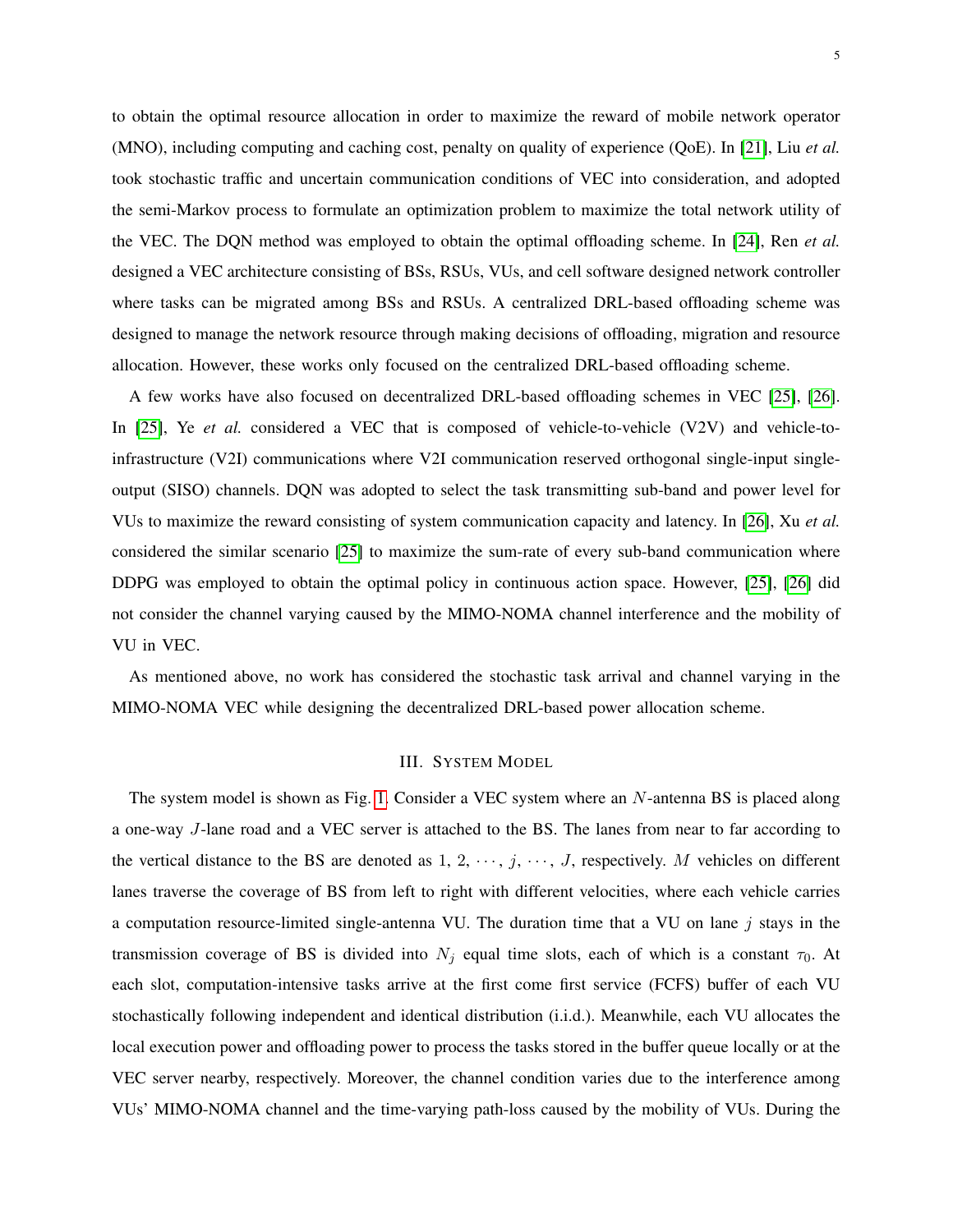to obtain the optimal resource allocation in order to maximize the reward of mobile network operator (MNO), including computing and caching cost, penalty on quality of experience (QoE). In [\[21\]](#page-24-10), Liu *et al.* took stochastic traffic and uncertain communication conditions of VEC into consideration, and adopted the semi-Markov process to formulate an optimization problem to maximize the total network utility of the VEC. The DQN method was employed to obtain the optimal offloading scheme. In [\[24\]](#page-24-0), Ren *et al.* designed a VEC architecture consisting of BSs, RSUs, VUs, and cell software designed network controller where tasks can be migrated among BSs and RSUs. A centralized DRL-based offloading scheme was designed to manage the network resource through making decisions of offloading, migration and resource allocation. However, these works only focused on the centralized DRL-based offloading scheme.

A few works have also focused on decentralized DRL-based offloading schemes in VEC [\[25\]](#page-24-1), [\[26\]](#page-24-2). In [\[25\]](#page-24-1), Ye *et al.* considered a VEC that is composed of vehicle-to-vehicle (V2V) and vehicle-toinfrastructure (V2I) communications where V2I communication reserved orthogonal single-input singleoutput (SISO) channels. DQN was adopted to select the task transmitting sub-band and power level for VUs to maximize the reward consisting of system communication capacity and latency. In [\[26\]](#page-24-2), Xu *et al.* considered the similar scenario [\[25\]](#page-24-1) to maximize the sum-rate of every sub-band communication where DDPG was employed to obtain the optimal policy in continuous action space. However, [\[25\]](#page-24-1), [\[26\]](#page-24-2) did not consider the channel varying caused by the MIMO-NOMA channel interference and the mobility of VU in VEC.

As mentioned above, no work has considered the stochastic task arrival and channel varying in the MIMO-NOMA VEC while designing the decentralized DRL-based power allocation scheme.

# III. SYSTEM MODEL

<span id="page-4-0"></span>The system model is shown as Fig. [1.](#page-6-0) Consider a VEC system where an N-antenna BS is placed along a one-way J-lane road and a VEC server is attached to the BS. The lanes from near to far according to the vertical distance to the BS are denoted as  $1, 2, \dots, j, \dots, J$ , respectively. M vehicles on different lanes traverse the coverage of BS from left to right with different velocities, where each vehicle carries a computation resource-limited single-antenna VU. The duration time that a VU on lane  $j$  stays in the transmission coverage of BS is divided into  $N_j$  equal time slots, each of which is a constant  $\tau_0$ . At each slot, computation-intensive tasks arrive at the first come first service (FCFS) buffer of each VU stochastically following independent and identical distribution (i.i.d.). Meanwhile, each VU allocates the local execution power and offloading power to process the tasks stored in the buffer queue locally or at the VEC server nearby, respectively. Moreover, the channel condition varies due to the interference among VUs' MIMO-NOMA channel and the time-varying path-loss caused by the mobility of VUs. During the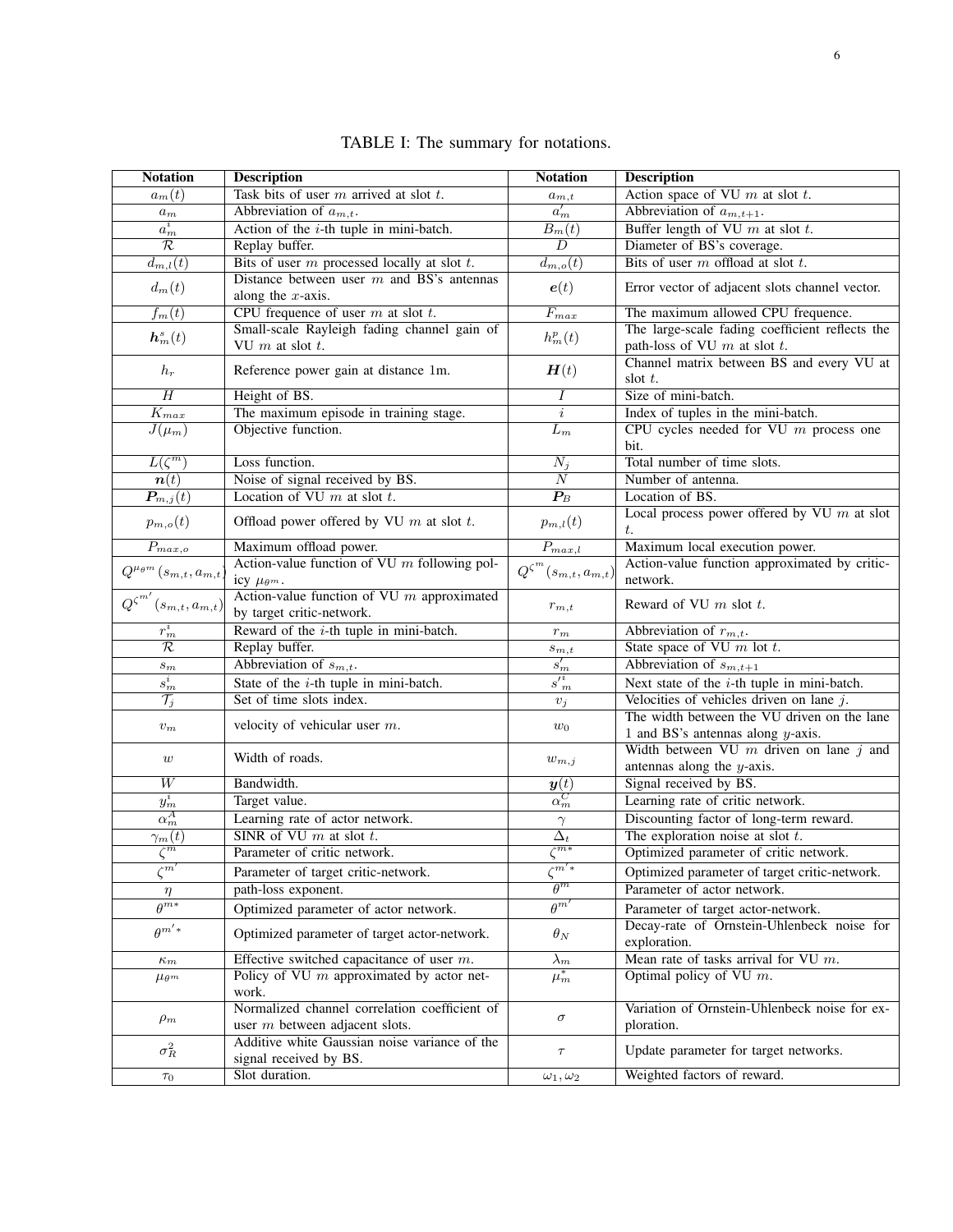<span id="page-5-0"></span>

| <b>Notation</b>                         | <b>Description</b>                                                                          | <b>Notation</b>                        | <b>Description</b>                                                           |
|-----------------------------------------|---------------------------------------------------------------------------------------------|----------------------------------------|------------------------------------------------------------------------------|
| $a_m(t)$                                | Task bits of user $m$ arrived at slot $t$ .                                                 | $a_{m,t}$                              | Action space of VU $m$ at slot $t$ .                                         |
| $a_m$                                   | Abbreviation of $a_{m,t}$ .                                                                 | $a'_m$                                 | Abbreviation of $a_{m,t+1}$ .                                                |
| $a_m^i$                                 | Action of the $i$ -th tuple in mini-batch.                                                  | $B_m(t)$                               | Buffer length of VU $m$ at slot $t$ .                                        |
| $\mathcal R$                            | Replay buffer.                                                                              | $\overline{D}$                         | Diameter of BS's coverage.                                                   |
| $\overline{d_{m,l}(t)}$                 | Bits of user $m$ processed locally at slot $t$ .                                            | $\overline{d_{m,o}(t)}$                | Bits of user $m$ offload at slot $t$ .                                       |
|                                         | Distance between user $m$ and BS's antennas                                                 |                                        |                                                                              |
| $d_m(t)$                                | along the $x$ -axis.                                                                        | e(t)                                   | Error vector of adjacent slots channel vector.                               |
| $f_m(t)$                                | CPU frequence of user $m$ at slot $t$ .                                                     | $F_{max}$                              | The maximum allowed CPU frequence.                                           |
| $\boldsymbol{h}^s_m(t)$                 | Small-scale Rayleigh fading channel gain of                                                 | $h_m^p(t)$                             | The large-scale fading coefficient reflects the                              |
|                                         | VU $m$ at slot $t$ .                                                                        |                                        | path-loss of VU $m$ at slot $t$ .                                            |
| $h_r$                                   | Reference power gain at distance 1m.                                                        | H(t)                                   | Channel matrix between BS and every VU at                                    |
|                                         |                                                                                             |                                        | slot $t$ .                                                                   |
| $\overline{H}$                          | Height of BS.                                                                               | Ι                                      | Size of mini-batch.                                                          |
| $\overline{K_{max}}$                    | The maximum episode in training stage.                                                      | $\dot{i}$                              | Index of tuples in the mini-batch.                                           |
| $J(\mu_m)$                              | Objective function.                                                                         | $\overline{L_m}$                       | CPU cycles needed for VU $m$ process one                                     |
|                                         |                                                                                             |                                        | bit.                                                                         |
| $L(\zeta^m)$                            | Loss function.                                                                              | $\overline{N_j}$                       | Total number of time slots.                                                  |
| $\overline{\boldsymbol{n}(t)}$          | Noise of signal received by BS.                                                             | $\overline{N}$                         | Number of antenna.                                                           |
| $\boldsymbol{P}_{m,j}(t)$               | Location of VU $m$ at slot $t$ .                                                            | $\overline{\mathcal{\mathcal{P}}_{B}}$ | Location of BS.                                                              |
| $p_{m,o}(t)$                            | Offload power offered by VU $m$ at slot $t$ .                                               | $p_{m,l}(t)$                           | Local process power offered by VU $m$ at slot                                |
| $\overline{P_{max,o}}$                  | Maximum offload power.                                                                      |                                        | t.                                                                           |
|                                         | Action-value function of VU $m$ following pol-                                              | $\overline{P_{max,l}}$                 | Maximum local execution power.                                               |
| $Q^{\mu_{\theta^m}}(s_{m,t},a_{m,t})$   | icy $\mu_{\theta^m}$ .                                                                      | $Q^{\zeta^m}(s_{m,t},a_{m,t})$         | Action-value function approximated by critic-<br>network.                    |
|                                         | Action-value function of VU $m$ approximated                                                |                                        |                                                                              |
| $Q^{\zeta^{m'}}$<br>$(s_{m,t},a_{m,t})$ | by target critic-network.                                                                   | $r_{m,t}$                              | Reward of VU $m$ slot $t$ .                                                  |
| $r_m^i$                                 | Reward of the $i$ -th tuple in mini-batch.                                                  | $r_m$                                  | Abbreviation of $r_{m,t}$ .                                                  |
| $\mathcal R$                            | Replay buffer.                                                                              | $s_{m,t}$                              | State space of VU $m$ lot $t$ .                                              |
| $_{\mathfrak{Sm}}$                      | Abbreviation of $s_{m,t}$ .                                                                 | $s'_m$                                 | Abbreviation of $s_{m,t+1}$                                                  |
| $\boldsymbol{s}_{m}^{i}$                | State of the $i$ -th tuple in mini-batch.                                                   | $s^{\prime i}_m$                       | Next state of the $i$ -th tuple in mini-batch.                               |
| $\overline{\mathcal{T}_j}$              | Set of time slots index.                                                                    |                                        | Velocities of vehicles driven on lane $j$ .                                  |
|                                         |                                                                                             | $v_j$                                  | The width between the VU driven on the lane                                  |
| $v_m$                                   | velocity of vehicular user $m$ .                                                            | $w_0$                                  | 1 and BS's antennas along $y$ -axis.                                         |
|                                         |                                                                                             |                                        | Width between VU $m$ driven on lane $j$ and                                  |
| $\boldsymbol{w}$                        | Width of roads.                                                                             | $w_{m,j}$                              | antennas along the $y$ -axis.                                                |
| W                                       | Bandwidth.                                                                                  | y(t)                                   | Signal received by BS.                                                       |
| $y_m^i$                                 | Target value.                                                                               | $\alpha_m^C$                           | Learning rate of critic network.                                             |
| $\alpha_m^A$                            | Learning rate of actor network.                                                             | $\gamma$                               | Discounting factor of long-term reward.                                      |
| $\gamma_m(t)$                           | SINR of VU $m$ at slot $t$ .                                                                | $\Delta_t$                             | The exploration noise at slot $t$ .                                          |
| $\zeta^m$                               | Parameter of critic network.                                                                | $\zeta^{m*}$                           | Optimized parameter of critic network.                                       |
| $\zeta^m$                               | Parameter of target critic-network.                                                         | $\zeta^{m'*}$                          |                                                                              |
|                                         | path-loss exponent.                                                                         | $\overline{\theta^m}$                  | Optimized parameter of target critic-network.<br>Parameter of actor network. |
| $\eta$<br>$\theta^{\overline{m*}}$      |                                                                                             | $\overline{\theta^{m'}}$               |                                                                              |
|                                         | Optimized parameter of actor network.                                                       |                                        | Parameter of target actor-network.                                           |
| $\rho^{m'*}$                            | Optimized parameter of target actor-network.                                                | $\theta_N$                             | Decay-rate of Ornstein-Uhlenbeck noise for                                   |
|                                         |                                                                                             |                                        | exploration.<br>Mean rate of tasks arrival for VU $m$ .                      |
| $\kappa_m$                              | Effective switched capacitance of user $m$ .<br>Policy of VU $m$ approximated by actor net- | $\lambda_m$                            | Optimal policy of VU $m$ .                                                   |
| $\mu_{\theta^m}$                        | work.                                                                                       | $\mu_{m}^{*}$                          |                                                                              |
|                                         | Normalized channel correlation coefficient of                                               |                                        | Variation of Ornstein-Uhlenbeck noise for ex-                                |
| $\rho_m$                                | user $m$ between adjacent slots.                                                            | $\sigma$                               | ploration.                                                                   |
|                                         | Additive white Gaussian noise variance of the                                               |                                        |                                                                              |
| $\sigma_R^2$                            | signal received by BS.                                                                      | $\tau$                                 | Update parameter for target networks.                                        |
| $\tau_0$                                | Slot duration.                                                                              | $\omega_1,\omega_2$                    | Weighted factors of reward.                                                  |
|                                         |                                                                                             |                                        |                                                                              |

TABLE I: The summary for notations.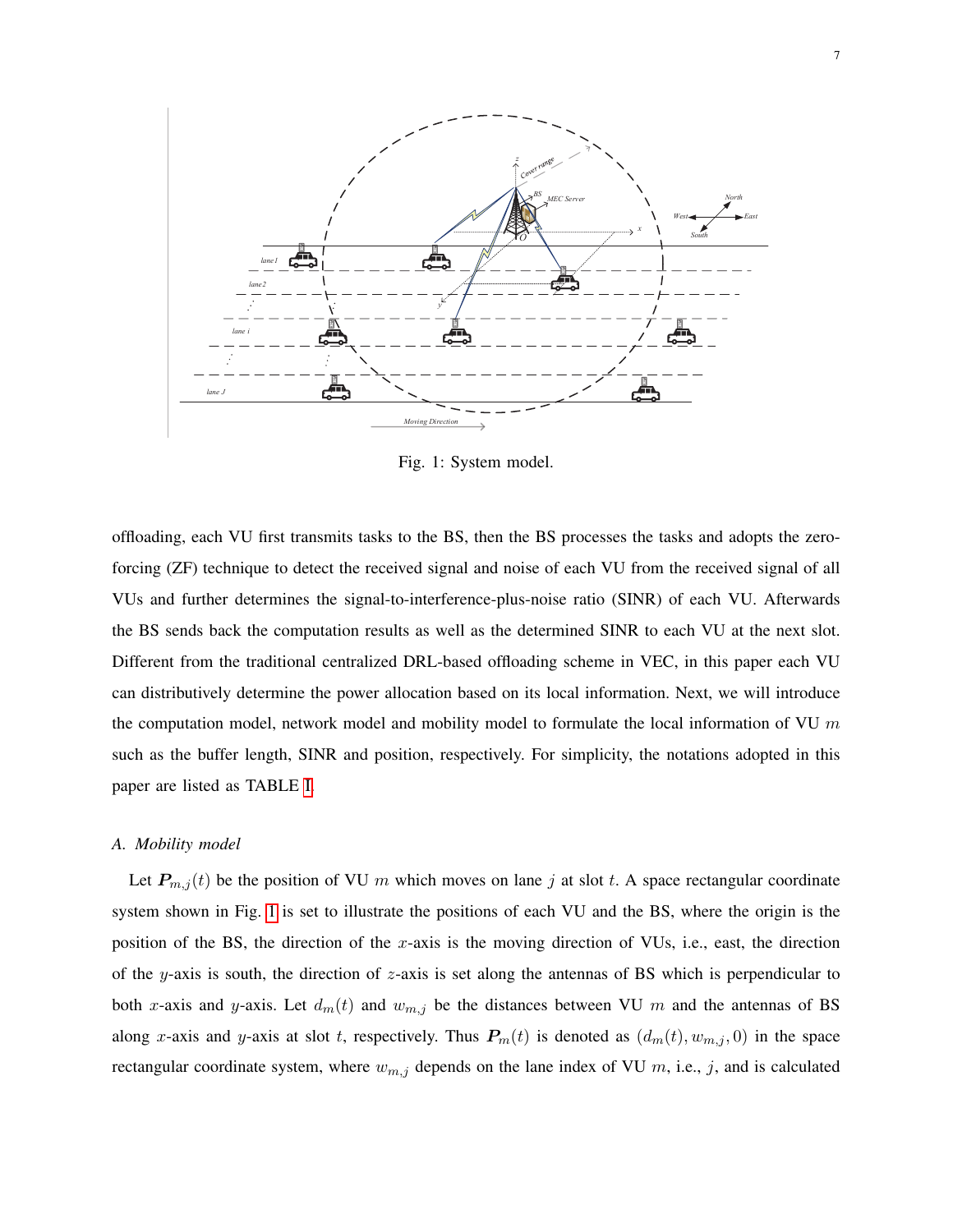<span id="page-6-0"></span>

Fig. 1: System model.

offloading, each VU first transmits tasks to the BS, then the BS processes the tasks and adopts the zeroforcing (ZF) technique to detect the received signal and noise of each VU from the received signal of all VUs and further determines the signal-to-interference-plus-noise ratio (SINR) of each VU. Afterwards the BS sends back the computation results as well as the determined SINR to each VU at the next slot. Different from the traditional centralized DRL-based offloading scheme in VEC, in this paper each VU can distributively determine the power allocation based on its local information. Next, we will introduce the computation model, network model and mobility model to formulate the local information of VU  $m$ such as the buffer length, SINR and position, respectively. For simplicity, the notations adopted in this paper are listed as TABLE [I.](#page-5-0)

#### *A. Mobility model*

Let  $P_{m,j}(t)$  be the position of VU m which moves on lane j at slot t. A space rectangular coordinate system shown in Fig. [1](#page-6-0) is set to illustrate the positions of each VU and the BS, where the origin is the position of the BS, the direction of the x-axis is the moving direction of VUs, i.e., east, the direction of the y-axis is south, the direction of  $z$ -axis is set along the antennas of BS which is perpendicular to both x-axis and y-axis. Let  $d_m(t)$  and  $w_{m,j}$  be the distances between VU m and the antennas of BS along x-axis and y-axis at slot t, respectively. Thus  $P_m(t)$  is denoted as  $(d_m(t), w_{m,j}, 0)$  in the space rectangular coordinate system, where  $w_{m,j}$  depends on the lane index of VU m, i.e., j, and is calculated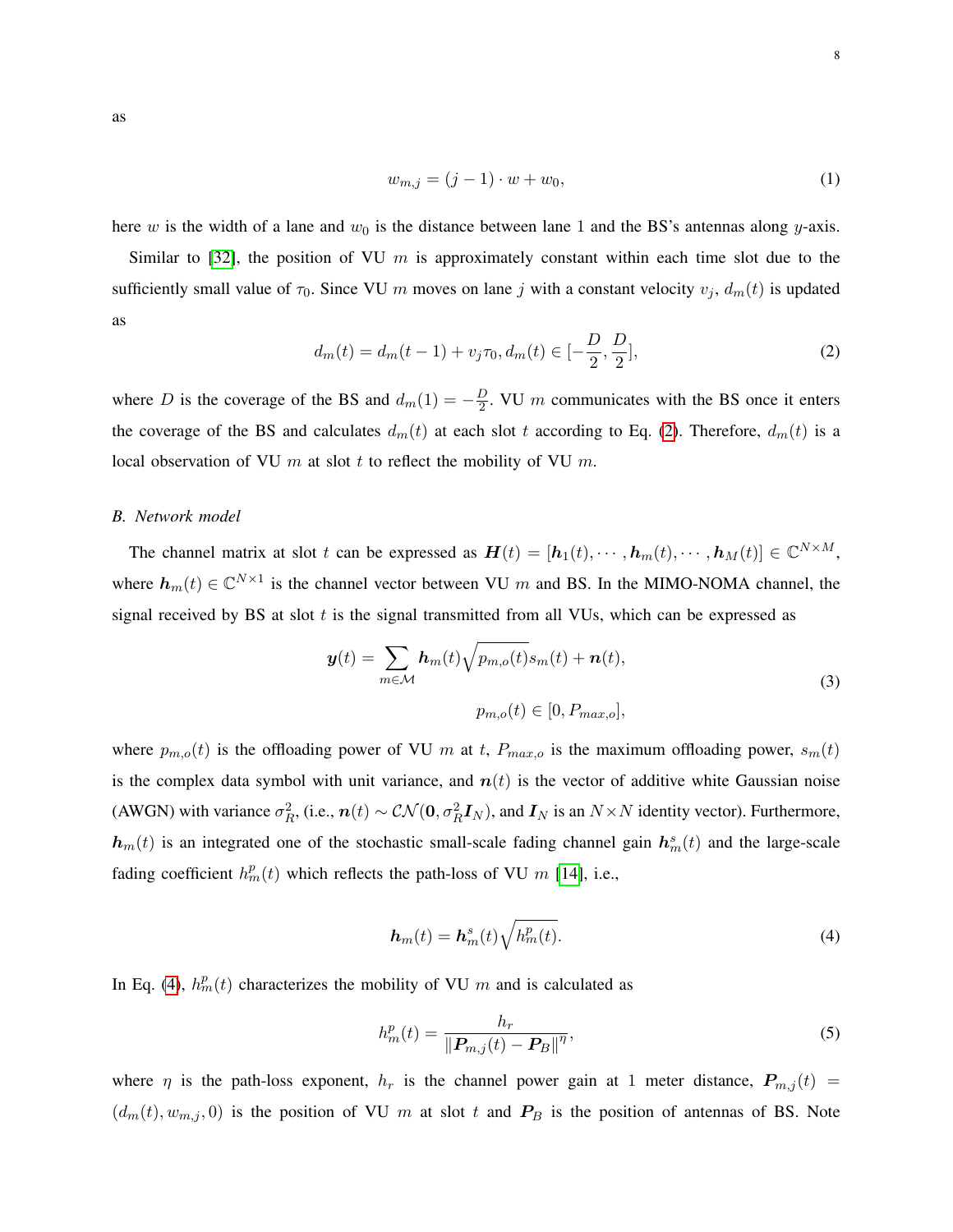<span id="page-7-2"></span>as

$$
w_{m,j} = (j-1) \cdot w + w_0,\tag{1}
$$

here w is the width of a lane and  $w_0$  is the distance between lane 1 and the BS's antennas along y-axis.

<span id="page-7-0"></span>Similar to [\[32\]](#page-24-11), the position of VU  $m$  is approximately constant within each time slot due to the sufficiently small value of  $\tau_0$ . Since VU m moves on lane j with a constant velocity  $v_j$ ,  $d_m(t)$  is updated as

$$
d_m(t) = d_m(t-1) + v_j \tau_0, d_m(t) \in [-\frac{D}{2}, \frac{D}{2}], \tag{2}
$$

where D is the coverage of the BS and  $d_m(1) = -\frac{D}{2}$  $\frac{D}{2}$ . VU *m* communicates with the BS once it enters the coverage of the BS and calculates  $d_m(t)$  at each slot t according to Eq. [\(2\)](#page-7-0). Therefore,  $d_m(t)$  is a local observation of VU  $m$  at slot  $t$  to reflect the mobility of VU  $m$ .

## *B. Network model*

The channel matrix at slot t can be expressed as  $\mathbf{H}(t) = [\mathbf{h}_1(t), \cdots, \mathbf{h}_m(t), \cdots, \mathbf{h}_M(t)] \in \mathbb{C}^{N \times M}$ , where  $h_m(t) \in \mathbb{C}^{N \times 1}$  is the channel vector between VU m and BS. In the MIMO-NOMA channel, the signal received by BS at slot  $t$  is the signal transmitted from all VUs, which can be expressed as

<span id="page-7-3"></span>
$$
\mathbf{y}(t) = \sum_{m \in \mathcal{M}} \mathbf{h}_m(t) \sqrt{p_{m,o}(t)} s_m(t) + \mathbf{n}(t),
$$
  

$$
p_{m,o}(t) \in [0, P_{max,o}],
$$
 (3)

where  $p_{m,o}(t)$  is the offloading power of VU m at t,  $P_{max,o}$  is the maximum offloading power,  $s_m(t)$ is the complex data symbol with unit variance, and  $n(t)$  is the vector of additive white Gaussian noise (AWGN) with variance  $\sigma_R^2$ , (i.e.,  $n(t) \sim \mathcal{CN}(\mathbf{0}, \sigma_R^2 \mathbf{I}_N)$ , and  $\mathbf{I}_N$  is an  $N \times N$  identity vector). Furthermore,  $h_m(t)$  is an integrated one of the stochastic small-scale fading channel gain  $h_m^s(t)$  and the large-scale fading coefficient  $h_m^p(t)$  which reflects the path-loss of VU m [\[14\]](#page-23-14), i.e.,

$$
\boldsymbol{h}_m(t) = \boldsymbol{h}_m^s(t) \sqrt{h_m^p(t)}.
$$
\n(4)

<span id="page-7-1"></span>In Eq. [\(4\)](#page-7-1),  $h_m^p(t)$  characterizes the mobility of VU m and is calculated as

$$
h_m^p(t) = \frac{h_r}{\|\boldsymbol{P}_{m,j}(t) - \boldsymbol{P}_B\|^{\eta}},\tag{5}
$$

where  $\eta$  is the path-loss exponent,  $h_r$  is the channel power gain at 1 meter distance,  $P_{m,j}(t)$  =  $(d_m(t), w_{m,j}, 0)$  is the position of VU m at slot t and  $P_B$  is the position of antennas of BS. Note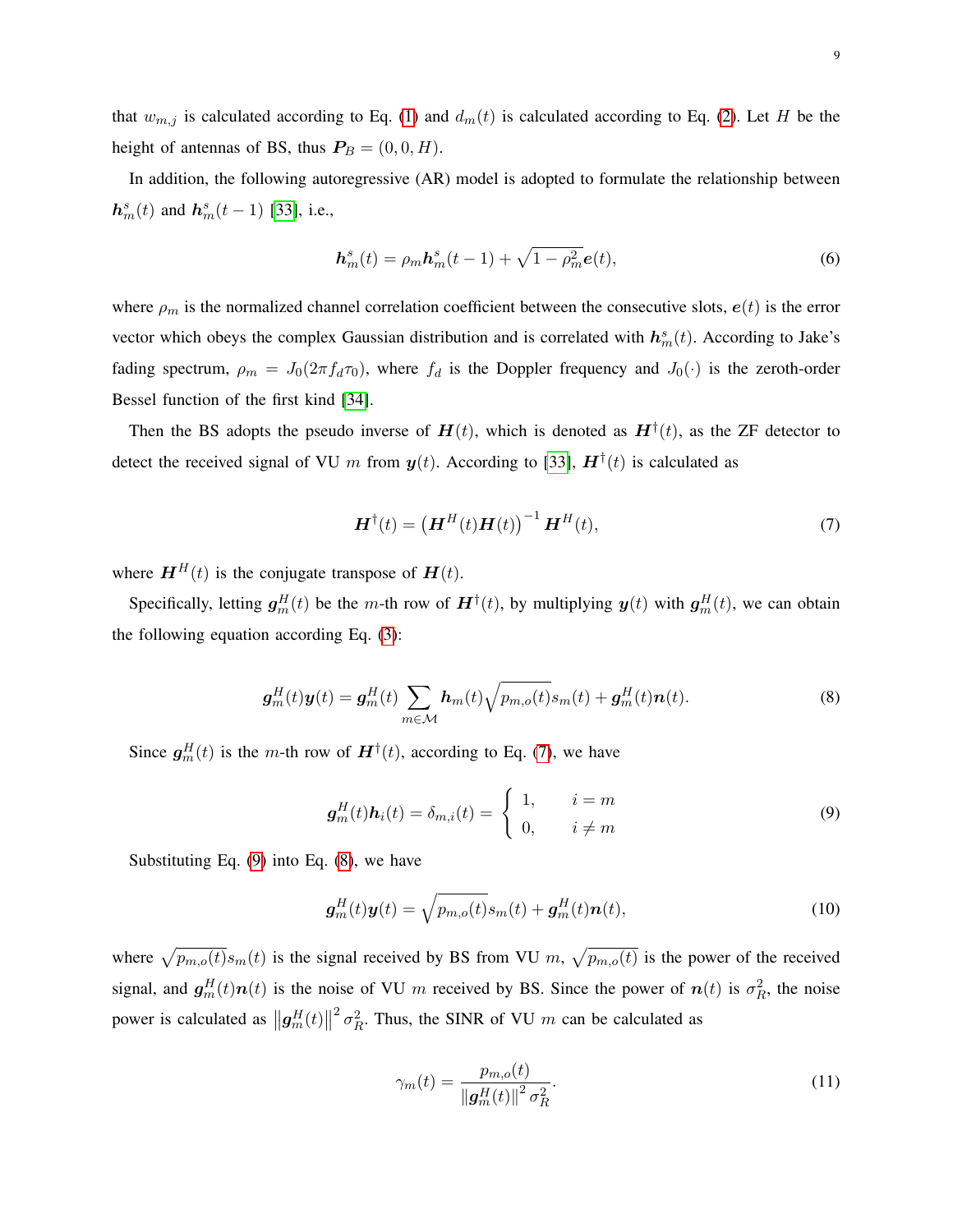that  $w_{m,j}$  is calculated according to Eq. [\(1\)](#page-7-2) and  $d_m(t)$  is calculated according to Eq. [\(2\)](#page-7-0). Let H be the height of antennas of BS, thus  $P_B = (0, 0, H)$ .

In addition, the following autoregressive (AR) model is adopted to formulate the relationship between  $h_m^s(t)$  and  $h_m^s(t-1)$  [\[33\]](#page-24-12), i.e.,

$$
\mathbf{h}_m^s(t) = \rho_m \mathbf{h}_m^s(t-1) + \sqrt{1 - \rho_m^2} \mathbf{e}(t),\tag{6}
$$

where  $\rho_m$  is the normalized channel correlation coefficient between the consecutive slots,  $e(t)$  is the error vector which obeys the complex Gaussian distribution and is correlated with  $h_m^s(t)$ . According to Jake's fading spectrum,  $\rho_m = J_0(2\pi f_d \tau_0)$ , where  $f_d$  is the Doppler frequency and  $J_0(\cdot)$  is the zeroth-order Bessel function of the first kind [\[34\]](#page-24-13).

<span id="page-8-0"></span>Then the BS adopts the pseudo inverse of  $H(t)$ , which is denoted as  $H^{\dagger}(t)$ , as the ZF detector to detect the received signal of VU m from  $y(t)$ . According to [\[33\]](#page-24-12),  $H^{\dagger}(t)$  is calculated as

$$
\boldsymbol{H}^{\dagger}(t) = \left(\boldsymbol{H}^H(t)\boldsymbol{H}(t)\right)^{-1}\boldsymbol{H}^H(t),\tag{7}
$$

where  $\mathbf{H}^{H}(t)$  is the conjugate transpose of  $\mathbf{H}(t)$ .

<span id="page-8-2"></span>Specifically, letting  $g_m^H(t)$  be the m-th row of  $\mathbf{H}^{\dagger}(t)$ , by multiplying  $y(t)$  with  $g_m^H(t)$ , we can obtain the following equation according Eq. [\(3\)](#page-7-3):

$$
\boldsymbol{g}_m^H(t)\boldsymbol{y}(t) = \boldsymbol{g}_m^H(t)\sum_{m\in\mathcal{M}}\boldsymbol{h}_m(t)\sqrt{p_{m,o}(t)}s_m(t) + \boldsymbol{g}_m^H(t)\boldsymbol{n}(t).
$$
\n(8)

<span id="page-8-1"></span>Since  $g_m^H(t)$  is the m-th row of  $H^{\dagger}(t)$ , according to Eq. [\(7\)](#page-8-0), we have

$$
\boldsymbol{g}_m^H(t)\boldsymbol{h}_i(t) = \delta_{m,i}(t) = \begin{cases} 1, & i = m \\ 0, & i \neq m \end{cases} \tag{9}
$$

Substituting Eq.  $(9)$  into Eq.  $(8)$ , we have

$$
\boldsymbol{g}_m^H(t)\boldsymbol{y}(t) = \sqrt{p_{m,o}(t)}s_m(t) + \boldsymbol{g}_m^H(t)\boldsymbol{n}(t),
$$
\n(10)

<span id="page-8-3"></span>where  $\sqrt{p_{m,o}(t)}s_m(t)$  is the signal received by BS from VU m,  $\sqrt{p_{m,o}(t)}$  is the power of the received signal, and  $g_m^H(t)n(t)$  is the noise of VU m received by BS. Since the power of  $n(t)$  is  $\sigma_R^2$ , the noise power is calculated as  $||g_m^H(t)||$  $^{2}$   $\sigma_{R}^{2}$ . Thus, the SINR of VU m can be calculated as

$$
\gamma_m(t) = \frac{p_{m,o}(t)}{\|\mathbf{g}_m^H(t)\|^2 \sigma_R^2}.
$$
\n(11)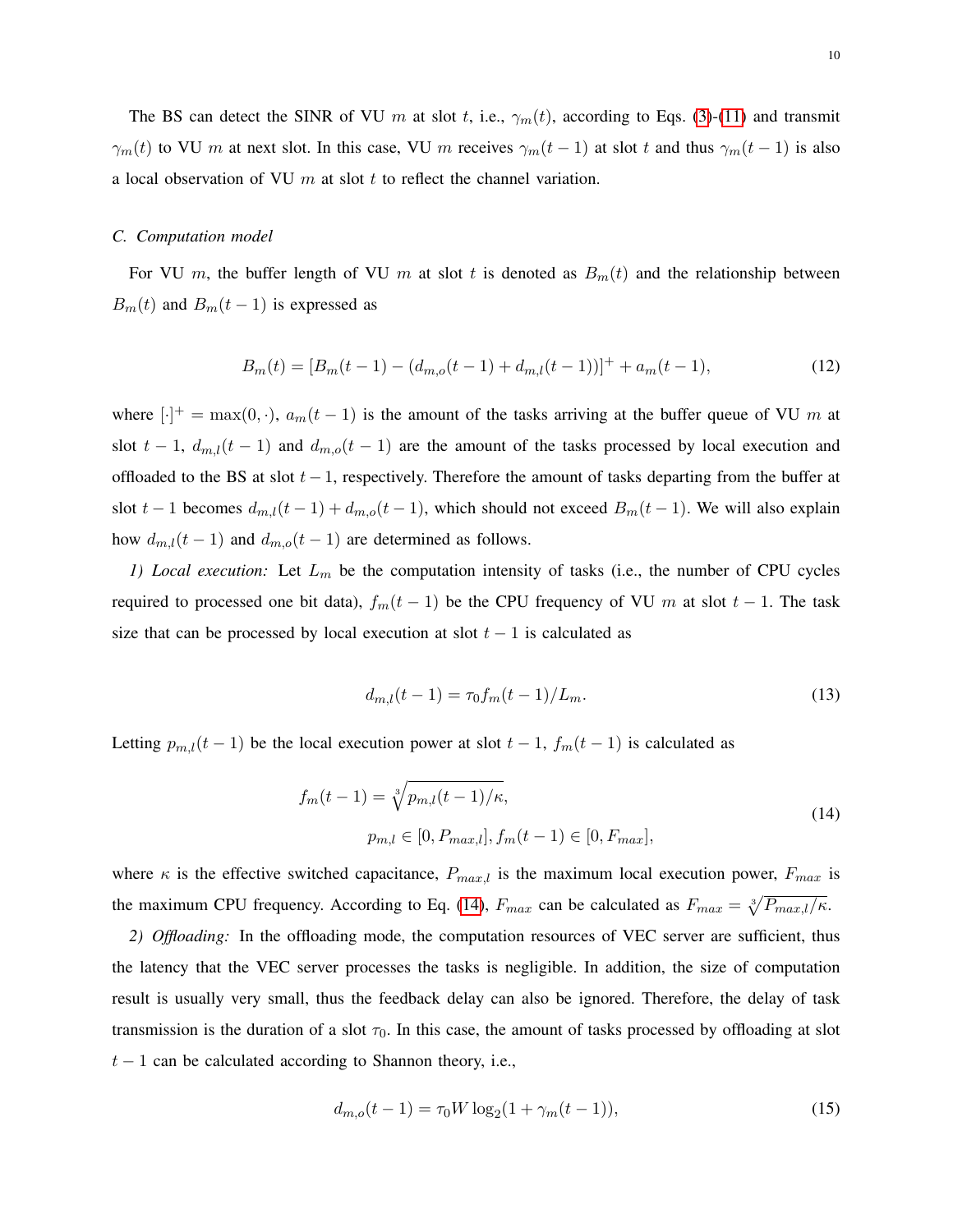The BS can detect the SINR of VU m at slot t, i.e.,  $\gamma_m(t)$ , according to Eqs. [\(3\)](#page-7-3)-[\(11\)](#page-8-3) and transmit  $\gamma_m(t)$  to VU m at next slot. In this case, VU m receives  $\gamma_m(t-1)$  at slot t and thus  $\gamma_m(t-1)$  is also a local observation of VU  $m$  at slot  $t$  to reflect the channel variation.

#### *C. Computation model*

<span id="page-9-1"></span>For VU m, the buffer length of VU m at slot t is denoted as  $B_m(t)$  and the relationship between  $B_m(t)$  and  $B_m(t-1)$  is expressed as

$$
B_m(t) = [B_m(t-1) - (d_{m,o}(t-1) + d_{m,l}(t-1))]^+ + a_m(t-1),
$$
\n(12)

where  $[\cdot]^+$  = max $(0, \cdot)$ ,  $a_m(t-1)$  is the amount of the tasks arriving at the buffer queue of VU m at slot  $t - 1$ ,  $d_{m,l}(t - 1)$  and  $d_{m,o}(t - 1)$  are the amount of the tasks processed by local execution and offloaded to the BS at slot  $t-1$ , respectively. Therefore the amount of tasks departing from the buffer at slot t − 1 becomes  $d_{m,l}(t-1) + d_{m,o}(t-1)$ , which should not exceed  $B_m(t-1)$ . We will also explain how  $d_{m,l}(t-1)$  and  $d_{m,o}(t-1)$  are determined as follows.

<span id="page-9-3"></span>*1) Local execution:* Let  $L_m$  be the computation intensity of tasks (i.e., the number of CPU cycles required to processed one bit data),  $f_m(t-1)$  be the CPU frequency of VU m at slot  $t-1$ . The task size that can be processed by local execution at slot  $t - 1$  is calculated as

$$
d_{m,l}(t-1) = \tau_0 f_m(t-1)/L_m.
$$
\n(13)

<span id="page-9-0"></span>Letting  $p_{m,l}(t-1)$  be the local execution power at slot  $t-1$ ,  $f_m(t-1)$  is calculated as

$$
f_m(t-1) = \sqrt[3]{p_{m,l}(t-1)/\kappa},
$$
  
\n
$$
p_{m,l} \in [0, P_{max,l}], f_m(t-1) \in [0, F_{max}],
$$
\n(14)

where  $\kappa$  is the effective switched capacitance,  $P_{max,l}$  is the maximum local execution power,  $F_{max}$  is the maximum CPU frequency. According to Eq. [\(14\)](#page-9-0),  $F_{max}$  can be calculated as  $F_{max} = \sqrt[3]{P_{max,l}/\kappa}$ .

*2) Offloading:* In the offloading mode, the computation resources of VEC server are sufficient, thus the latency that the VEC server processes the tasks is negligible. In addition, the size of computation result is usually very small, thus the feedback delay can also be ignored. Therefore, the delay of task transmission is the duration of a slot  $\tau_0$ . In this case, the amount of tasks processed by offloading at slot  $t - 1$  can be calculated according to Shannon theory, i.e.,

<span id="page-9-2"></span>
$$
d_{m,o}(t-1) = \tau_0 W \log_2(1 + \gamma_m(t-1)),\tag{15}
$$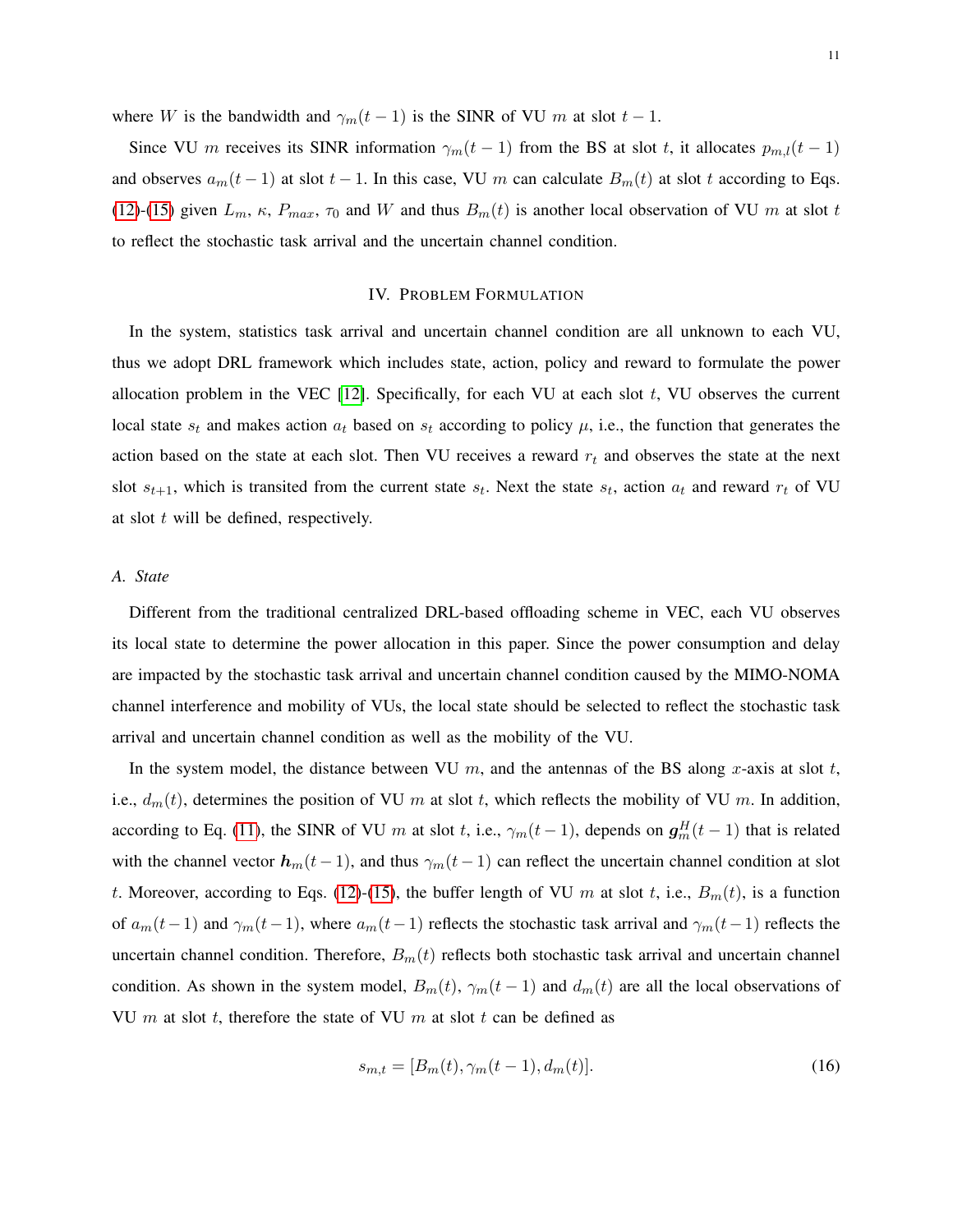where W is the bandwidth and  $\gamma_m(t-1)$  is the SINR of VU m at slot  $t-1$ .

Since VU m receives its SINR information  $\gamma_m(t-1)$  from the BS at slot t, it allocates  $p_{m,l}(t-1)$ and observes  $a_m(t-1)$  at slot  $t-1$ . In this case, VU m can calculate  $B_m(t)$  at slot t according to Eqs. [\(12\)](#page-9-1)-[\(15\)](#page-9-2) given  $L_m$ ,  $\kappa$ ,  $P_{max}$ ,  $\tau_0$  and W and thus  $B_m(t)$  is another local observation of VU m at slot t to reflect the stochastic task arrival and the uncertain channel condition.

#### IV. PROBLEM FORMULATION

<span id="page-10-0"></span>In the system, statistics task arrival and uncertain channel condition are all unknown to each VU, thus we adopt DRL framework which includes state, action, policy and reward to formulate the power allocation problem in the VEC  $[12]$ . Specifically, for each VU at each slot t, VU observes the current local state  $s_t$  and makes action  $a_t$  based on  $s_t$  according to policy  $\mu$ , i.e., the function that generates the action based on the state at each slot. Then VU receives a reward  $r_t$  and observes the state at the next slot  $s_{t+1}$ , which is transited from the current state  $s_t$ . Next the state  $s_t$ , action  $a_t$  and reward  $r_t$  of VU at slot t will be defined, respectively.

#### *A. State*

Different from the traditional centralized DRL-based offloading scheme in VEC, each VU observes its local state to determine the power allocation in this paper. Since the power consumption and delay are impacted by the stochastic task arrival and uncertain channel condition caused by the MIMO-NOMA channel interference and mobility of VUs, the local state should be selected to reflect the stochastic task arrival and uncertain channel condition as well as the mobility of the VU.

In the system model, the distance between VU  $m$ , and the antennas of the BS along x-axis at slot  $t$ , i.e.,  $d_m(t)$ , determines the position of VU m at slot t, which reflects the mobility of VU m. In addition, according to Eq. [\(11\)](#page-8-3), the SINR of VU m at slot t, i.e.,  $\gamma_m(t-1)$ , depends on  $g_m^H(t-1)$  that is related with the channel vector  $h_m(t-1)$ , and thus  $\gamma_m(t-1)$  can reflect the uncertain channel condition at slot t. Moreover, according to Eqs. [\(12\)](#page-9-1)-[\(15\)](#page-9-2), the buffer length of VU m at slot t, i.e.,  $B_m(t)$ , is a function of  $a_m(t-1)$  and  $\gamma_m(t-1)$ , where  $a_m(t-1)$  reflects the stochastic task arrival and  $\gamma_m(t-1)$  reflects the uncertain channel condition. Therefore,  $B_m(t)$  reflects both stochastic task arrival and uncertain channel condition. As shown in the system model,  $B_m(t)$ ,  $\gamma_m(t-1)$  and  $d_m(t)$  are all the local observations of VU  $m$  at slot  $t$ , therefore the state of VU  $m$  at slot  $t$  can be defined as

$$
s_{m,t} = [B_m(t), \gamma_m(t-1), d_m(t)]. \tag{16}
$$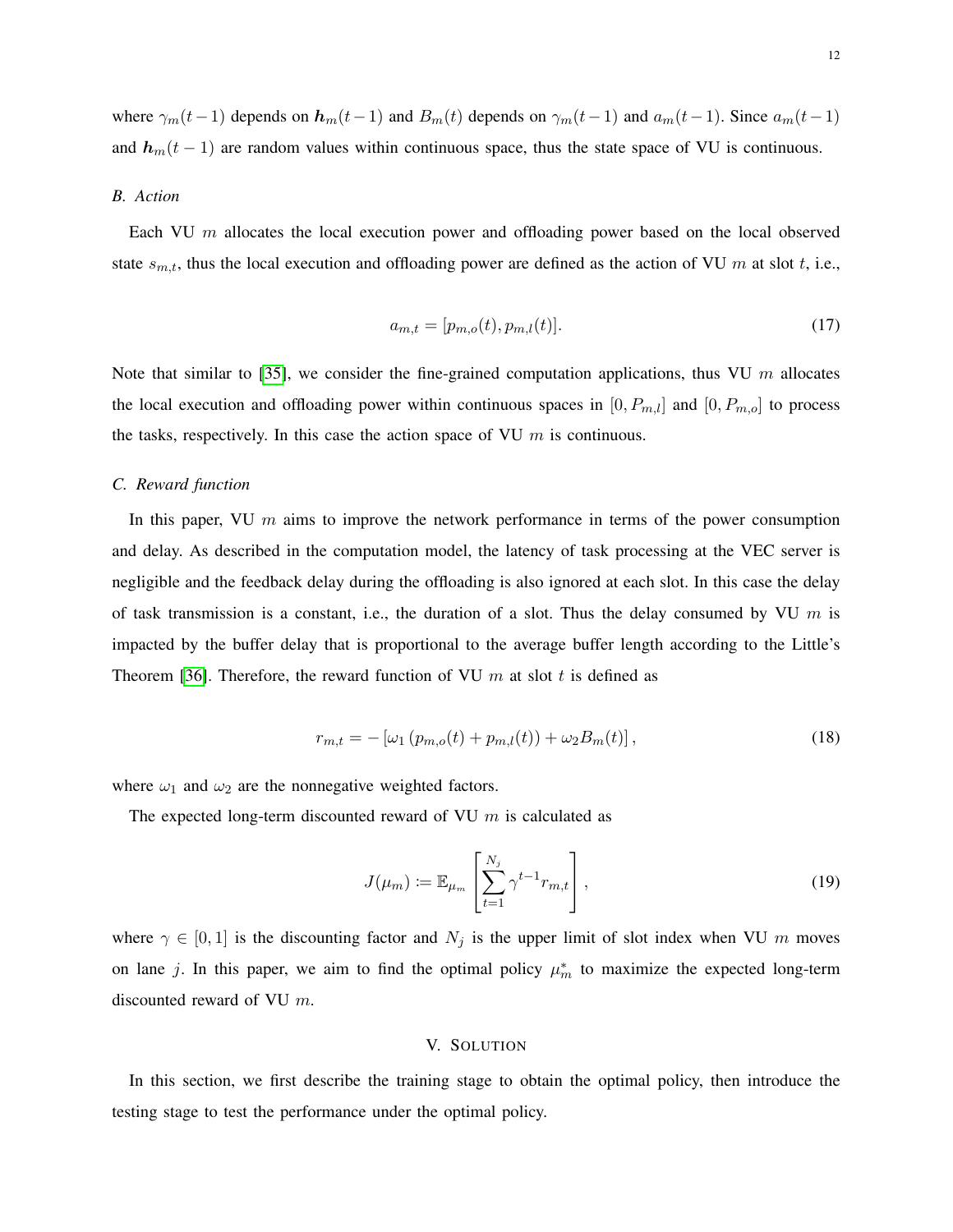where  $\gamma_m(t-1)$  depends on  $h_m(t-1)$  and  $B_m(t)$  depends on  $\gamma_m(t-1)$  and  $a_m(t-1)$ . Since  $a_m(t-1)$ and  $h_m(t-1)$  are random values within continuous space, thus the state space of VU is continuous.

#### *B. Action*

<span id="page-11-1"></span>Each VU m allocates the local execution power and offloading power based on the local observed state  $s_{m,t}$ , thus the local execution and offloading power are defined as the action of VU m at slot t, i.e.,

$$
a_{m,t} = [p_{m,o}(t), p_{m,l}(t)].
$$
\n(17)

Note that similar to [\[35\]](#page-24-14), we consider the fine-grained computation applications, thus VU  $m$  allocates the local execution and offloading power within continuous spaces in  $[0, P_{m,l}]$  and  $[0, P_{m,o}]$  to process the tasks, respectively. In this case the action space of VU  $m$  is continuous.

#### *C. Reward function*

In this paper, VU  $m$  aims to improve the network performance in terms of the power consumption and delay. As described in the computation model, the latency of task processing at the VEC server is negligible and the feedback delay during the offloading is also ignored at each slot. In this case the delay of task transmission is a constant, i.e., the duration of a slot. Thus the delay consumed by VU  $m$  is impacted by the buffer delay that is proportional to the average buffer length according to the Little's Theorem [\[36\]](#page-24-15). Therefore, the reward function of VU  $m$  at slot  $t$  is defined as

$$
r_{m,t} = -\left[\omega_1 \left(p_{m,o}(t) + p_{m,l}(t)\right) + \omega_2 B_m(t)\right],\tag{18}
$$

<span id="page-11-2"></span>where  $\omega_1$  and  $\omega_2$  are the nonnegative weighted factors.

The expected long-term discounted reward of VU  $m$  is calculated as

$$
J(\mu_m) := \mathbb{E}_{\mu_m} \left[ \sum_{t=1}^{N_j} \gamma^{t-1} r_{m,t} \right],
$$
\n(19)

where  $\gamma \in [0, 1]$  is the discounting factor and  $N_j$  is the upper limit of slot index when VU m moves on lane j. In this paper, we aim to find the optimal policy  $\mu_m^*$  to maximize the expected long-term discounted reward of VU m.

#### V. SOLUTION

<span id="page-11-0"></span>In this section, we first describe the training stage to obtain the optimal policy, then introduce the testing stage to test the performance under the optimal policy.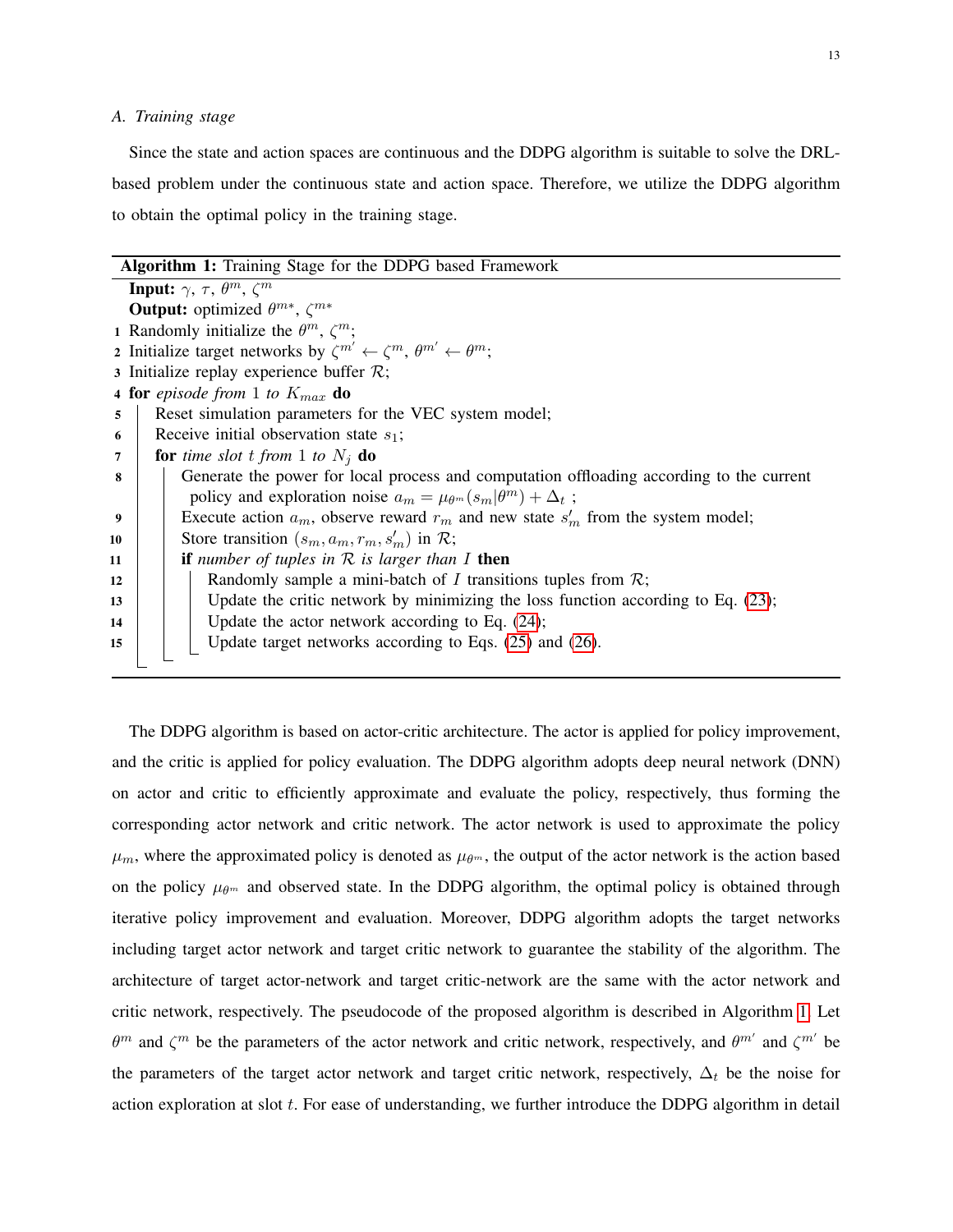# *A. Training stage*

Since the state and action spaces are continuous and the DDPG algorithm is suitable to solve the DRLbased problem under the continuous state and action space. Therefore, we utilize the DDPG algorithm to obtain the optimal policy in the training stage.

<span id="page-12-0"></span>

|    | <b>Algorithm 1:</b> Training Stage for the DDPG based Framework                                       |  |  |  |  |  |
|----|-------------------------------------------------------------------------------------------------------|--|--|--|--|--|
|    | <b>Input:</b> $\gamma$ , $\tau$ , $\theta^m$ , $\zeta^m$                                              |  |  |  |  |  |
|    | <b>Output:</b> optimized $\theta^{m*}$ , $\zeta^{m*}$                                                 |  |  |  |  |  |
|    | 1 Randomly initialize the $\theta^m$ , $\zeta^m$ ;                                                    |  |  |  |  |  |
|    | 2 Initialize target networks by $\zeta^{m'} \leftarrow \zeta^m$ , $\theta^{m'} \leftarrow \theta^m$ ; |  |  |  |  |  |
|    | 3 Initialize replay experience buffer $\mathcal{R}$ ;                                                 |  |  |  |  |  |
|    | 4 for episode from 1 to $K_{max}$ do                                                                  |  |  |  |  |  |
| 5  | Reset simulation parameters for the VEC system model;                                                 |  |  |  |  |  |
| 6  | Receive initial observation state $s_1$ ;                                                             |  |  |  |  |  |
| 7  | <b>for</b> time slot t from 1 to $N_i$ <b>do</b>                                                      |  |  |  |  |  |
| 8  | Generate the power for local process and computation offloading according to the current              |  |  |  |  |  |
|    | policy and exploration noise $a_m = \mu_{\theta^m}(s_m \theta^m) + \Delta_t$ ;                        |  |  |  |  |  |
| 9  | Execute action $a_m$ , observe reward $r_m$ and new state $s'_m$ from the system model;               |  |  |  |  |  |
| 10 | Store transition $(s_m, a_m, r_m, s'_m)$ in $\mathcal{R}$ ;                                           |  |  |  |  |  |
| 11 | <b>if</b> number of tuples in $R$ is larger than I then                                               |  |  |  |  |  |
| 12 | Randomly sample a mini-batch of I transitions tuples from $\mathcal{R}$ ;                             |  |  |  |  |  |
| 13 | Update the critic network by minimizing the loss function according to Eq. $(23)$ ;                   |  |  |  |  |  |
| 14 | Update the actor network according to Eq. $(24)$ ;                                                    |  |  |  |  |  |
| 15 | Update target networks according to Eqs. (25) and (26).                                               |  |  |  |  |  |
|    |                                                                                                       |  |  |  |  |  |

The DDPG algorithm is based on actor-critic architecture. The actor is applied for policy improvement, and the critic is applied for policy evaluation. The DDPG algorithm adopts deep neural network (DNN) on actor and critic to efficiently approximate and evaluate the policy, respectively, thus forming the corresponding actor network and critic network. The actor network is used to approximate the policy  $\mu_m$ , where the approximated policy is denoted as  $\mu_{\theta^m}$ , the output of the actor network is the action based on the policy  $\mu_{\theta^m}$  and observed state. In the DDPG algorithm, the optimal policy is obtained through iterative policy improvement and evaluation. Moreover, DDPG algorithm adopts the target networks including target actor network and target critic network to guarantee the stability of the algorithm. The architecture of target actor-network and target critic-network are the same with the actor network and critic network, respectively. The pseudocode of the proposed algorithm is described in Algorithm [1.](#page-12-0) Let  $\theta^m$  and  $\zeta^m$  be the parameters of the actor network and critic network, respectively, and  $\theta^{m'}$  and  $\zeta^{m'}$  be the parameters of the target actor network and target critic network, respectively,  $\Delta_t$  be the noise for action exploration at slot t. For ease of understanding, we further introduce the DDPG algorithm in detail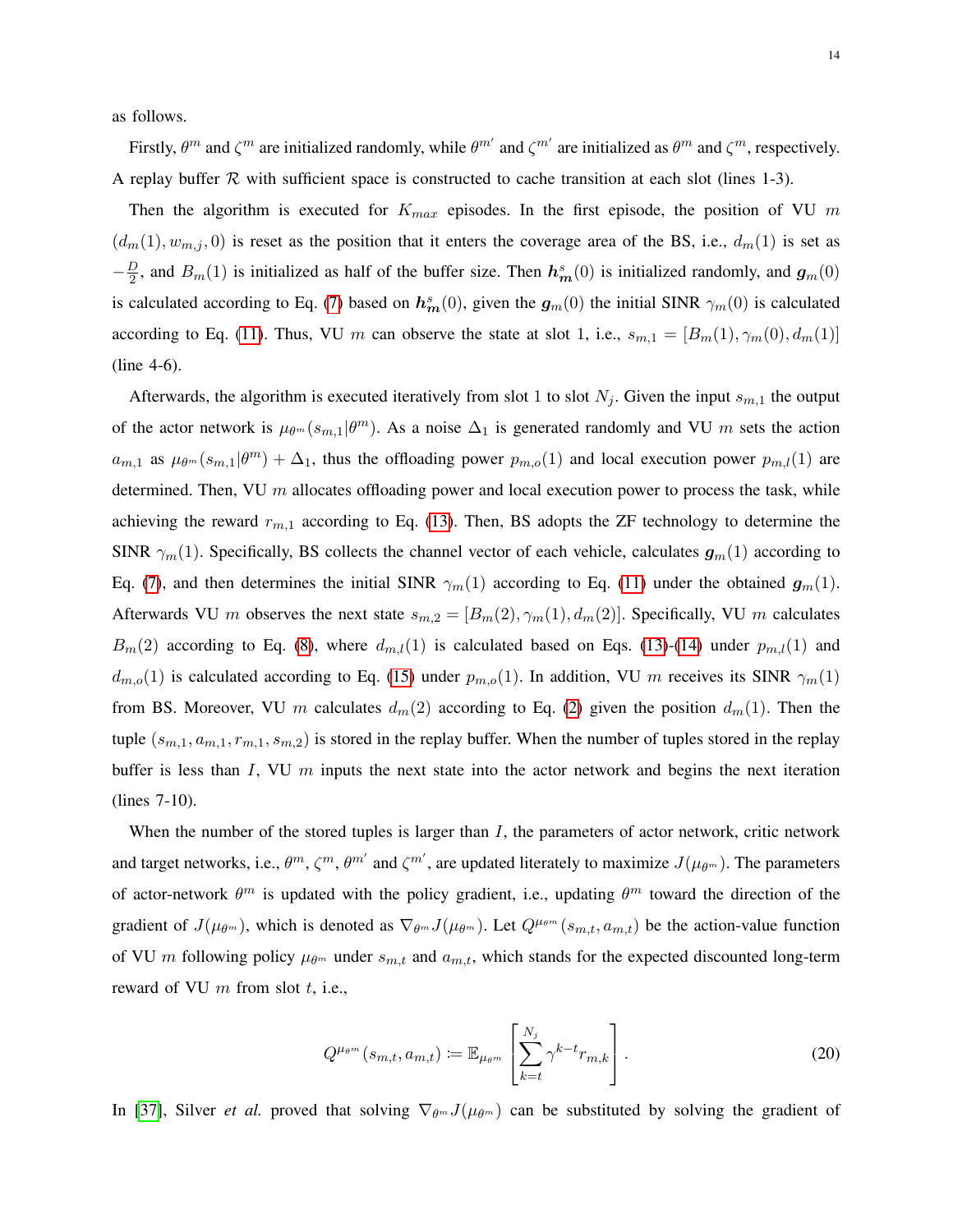as follows.

Firstly,  $\theta^m$  and  $\zeta^m$  are initialized randomly, while  $\theta^{m'}$  and  $\zeta^{m'}$  are initialized as  $\theta^m$  and  $\zeta^m$ , respectively. A replay buffer  $R$  with sufficient space is constructed to cache transition at each slot (lines 1-3).

Then the algorithm is executed for  $K_{max}$  episodes. In the first episode, the position of VU m  $(d_m(1), w_{m,j}, 0)$  is reset as the position that it enters the coverage area of the BS, i.e.,  $d_m(1)$  is set as  $-\frac{D}{2}$  $\frac{D}{2}$ , and  $B_m(1)$  is initialized as half of the buffer size. Then  $h_m^s(0)$  is initialized randomly, and  $g_m(0)$ is calculated according to Eq. [\(7\)](#page-8-0) based on  $h_m^s(0)$ , given the  $g_m(0)$  the initial SINR  $\gamma_m(0)$  is calculated according to Eq. [\(11\)](#page-8-3). Thus, VU m can observe the state at slot 1, i.e.,  $s_{m,1} = [B_m(1), \gamma_m(0), d_m(1)]$ (line 4-6).

Afterwards, the algorithm is executed iteratively from slot 1 to slot  $N_j$ . Given the input  $s_{m,1}$  the output of the actor network is  $\mu_{\theta^m}(s_{m,1}|\theta^m)$ . As a noise  $\Delta_1$  is generated randomly and VU m sets the action  $a_{m,1}$  as  $\mu_{\theta^m}(s_{m,1}|\theta^m) + \Delta_1$ , thus the offloading power  $p_{m,o}(1)$  and local execution power  $p_{m,l}(1)$  are determined. Then, VU  $m$  allocates offloading power and local execution power to process the task, while achieving the reward  $r_{m,1}$  according to Eq. [\(13\)](#page-9-3). Then, BS adopts the ZF technology to determine the SINR  $\gamma_m(1)$ . Specifically, BS collects the channel vector of each vehicle, calculates  $g_m(1)$  according to Eq. [\(7\)](#page-8-0), and then determines the initial SINR  $\gamma_m(1)$  according to Eq. [\(11\)](#page-8-3) under the obtained  $g_m(1)$ . Afterwards VU m observes the next state  $s_{m,2} = [B_m(2), \gamma_m(1), d_m(2)]$ . Specifically, VU m calculates  $B_m(2)$  according to Eq. [\(8\)](#page-8-2), where  $d_{m,l}(1)$  is calculated based on Eqs. [\(13\)](#page-9-3)-[\(14\)](#page-9-0) under  $p_{m,l}(1)$  and  $d_{m,o}(1)$  is calculated according to Eq. [\(15\)](#page-9-2) under  $p_{m,o}(1)$ . In addition, VU m receives its SINR  $\gamma_m(1)$ from BS. Moreover, VU m calculates  $d_m(2)$  $d_m(2)$  according to Eq. (2) given the position  $d_m(1)$ . Then the tuple  $(s_{m,1}, a_{m,1}, r_{m,1}, s_{m,2})$  is stored in the replay buffer. When the number of tuples stored in the replay buffer is less than  $I$ , VU  $m$  inputs the next state into the actor network and begins the next iteration (lines 7-10).

When the number of the stored tuples is larger than  $I$ , the parameters of actor network, critic network and target networks, i.e.,  $\theta^m$ ,  $\zeta^m$ ,  $\theta^{m'}$  and  $\zeta^{m'}$ , are updated literately to maximize  $J(\mu_{\theta^m})$ . The parameters of actor-network  $\theta^m$  is updated with the policy gradient, i.e., updating  $\theta^m$  toward the direction of the gradient of  $J(\mu_{\theta^m})$ , which is denoted as  $\nabla_{\theta^m} J(\mu_{\theta^m})$ . Let  $Q^{\mu_{\theta^m}}(s_{m,t}, a_{m,t})$  be the action-value function of VU m following policy  $\mu_{\theta^m}$  under  $s_{m,t}$  and  $a_{m,t}$ , which stands for the expected discounted long-term reward of VU  $m$  from slot  $t$ , i.e.,

$$
Q^{\mu_{\theta^m}}(s_{m,t}, a_{m,t}) \coloneqq \mathbb{E}_{\mu_{\theta^m}}\left[\sum_{k=t}^{N_j} \gamma^{k-t} r_{m,k}\right]. \tag{20}
$$

In [\[37\]](#page-24-16), Silver *et al.* proved that solving  $\nabla_{\theta^m} J(\mu_{\theta^m})$  can be substituted by solving the gradient of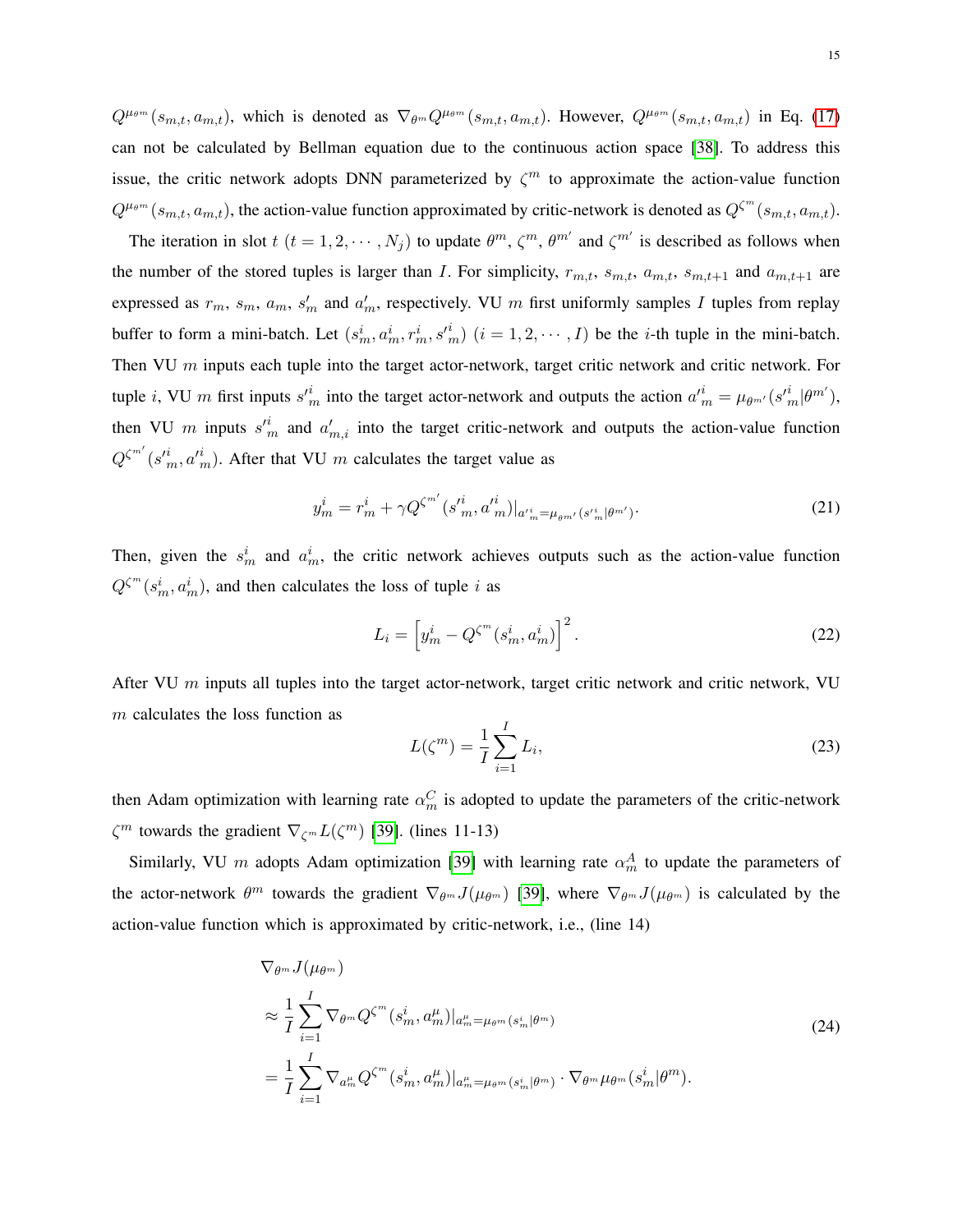$Q^{\mu_{\theta^m}}(s_{m,t}, a_{m,t})$ , which is denoted as  $\nabla_{\theta^m} Q^{\mu_{\theta^m}}(s_{m,t}, a_{m,t})$ . However,  $Q^{\mu_{\theta^m}}(s_{m,t}, a_{m,t})$  in Eq. [\(17\)](#page-11-1) can not be calculated by Bellman equation due to the continuous action space [\[38\]](#page-25-0). To address this issue, the critic network adopts DNN parameterized by  $\zeta^m$  to approximate the action-value function  $Q^{\mu_{\theta^m}}(s_{m,t}, a_{m,t})$ , the action-value function approximated by critic-network is denoted as  $Q^{\zeta^m}(s_{m,t}, a_{m,t})$ .

The iteration in slot  $t$   $(t = 1, 2, \dots, N_j)$  to update  $\theta^m$ ,  $\zeta^m$ ,  $\theta^{m'}$  and  $\zeta^{m'}$  is described as follows when the number of the stored tuples is larger than I. For simplicity,  $r_{m,t}$ ,  $s_{m,t}$ ,  $a_{m,t}$ ,  $s_{m,t+1}$  and  $a_{m,t+1}$  are expressed as  $r_m$ ,  $s_m$ ,  $a_m$ ,  $s'_m$  and  $a'_m$ , respectively. VU m first uniformly samples I tuples from replay buffer to form a mini-batch. Let  $(s_m^i, a_m^i, r_m^i, s_m^i)$   $(i = 1, 2, \dots, I)$  be the *i*-th tuple in the mini-batch. Then VU  $m$  inputs each tuple into the target actor-network, target critic network and critic network. For tuple *i*, VU m first inputs  $s'^i_m$  into the target actor-network and outputs the action  $a'^i_m = \mu_{\theta^{m'}}(s'^i_m|\theta^m')$ , then VU m inputs  $s'^i_m$  and  $a'_{m,i}$  into the target critic-network and outputs the action-value function  $Q^{\zeta^{m'}}(s'^{i}_{m}, a'^{i}_{m})$ . After that VU m calculates the target value as

$$
y_m^i = r_m^i + \gamma Q^{\zeta^{m'}} (s_{m}^{\prime i}, a_{m}^{\prime i})|_{a_{m}^{\prime i} = \mu_{\theta^{m'}} (s_{m}^{\prime i}|_{\theta^{m'}}). \tag{21}
$$

Then, given the  $s_m^i$  and  $a_m^i$ , the critic network achieves outputs such as the action-value function  $Q^{\zeta^m}(s_m^i, a_m^i)$ , and then calculates the loss of tuple i as

$$
L_i = \left[ y_m^i - Q^{\zeta^m}(s_m^i, a_m^i) \right]^2.
$$
 (22)

After VU  $m$  inputs all tuples into the target actor-network, target critic network and critic network, VU m calculates the loss function as

<span id="page-14-1"></span><span id="page-14-0"></span>
$$
L(\zeta^m) = \frac{1}{I} \sum_{i=1}^{I} L_i,
$$
\n
$$
(23)
$$

then Adam optimization with learning rate  $\alpha_m^C$  is adopted to update the parameters of the critic-network  $\zeta^m$  towards the gradient  $\nabla_{\zeta^m} L(\zeta^m)$  [\[39\]](#page-25-1). (lines 11-13)

Similarly, VU m adopts Adam optimization [\[39\]](#page-25-1) with learning rate  $\alpha_m^A$  to update the parameters of the actor-network  $\theta^m$  towards the gradient  $\nabla_{\theta^m} J(\mu_{\theta^m})$  [\[39\]](#page-25-1), where  $\nabla_{\theta^m} J(\mu_{\theta^m})$  is calculated by the action-value function which is approximated by critic-network, i.e., (line 14)

$$
\nabla_{\theta^m} J(\mu_{\theta^m})
$$
\n
$$
\approx \frac{1}{I} \sum_{i=1}^I \nabla_{\theta^m} Q^{\zeta^m}(s_m^i, a_m^\mu)|_{a_m^\mu = \mu_{\theta^m}(s_m^i|\theta^m)}
$$
\n
$$
= \frac{1}{I} \sum_{i=1}^I \nabla_{a_m^\mu} Q^{\zeta^m}(s_m^i, a_m^\mu)|_{a_m^\mu = \mu_{\theta^m}(s_m^i|\theta^m)} \cdot \nabla_{\theta^m} \mu_{\theta^m}(s_m^i|\theta^m).
$$
\n(24)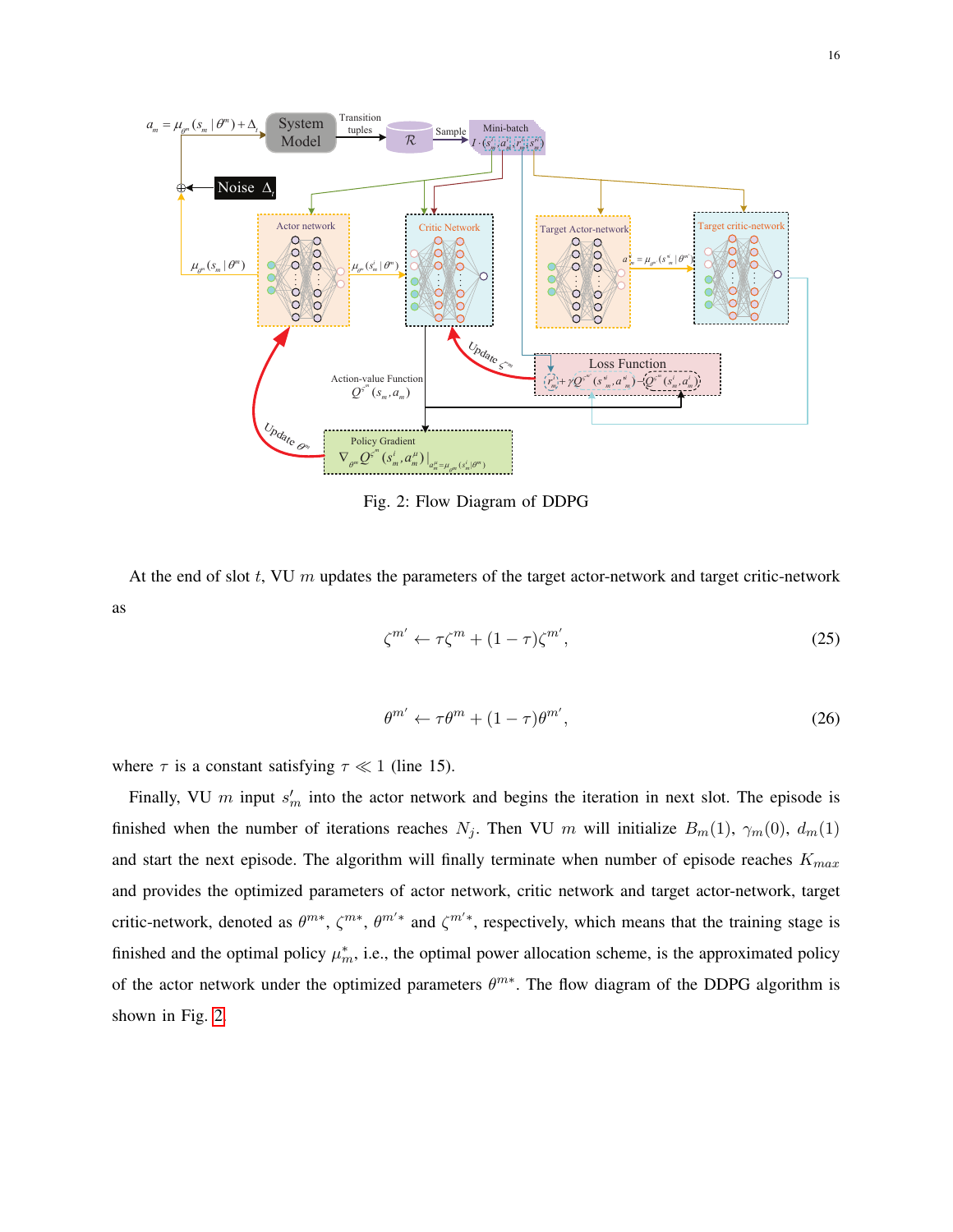<span id="page-15-2"></span>

Fig. 2: Flow Diagram of DDPG

<span id="page-15-1"></span><span id="page-15-0"></span>At the end of slot  $t$ , VU  $m$  updates the parameters of the target actor-network and target critic-network as

$$
\zeta^{m'} \leftarrow \tau \zeta^m + (1 - \tau) \zeta^{m'},\tag{25}
$$

$$
\theta^{m'} \leftarrow \tau \theta^m + (1 - \tau)\theta^{m'},\tag{26}
$$

where  $\tau$  is a constant satisfying  $\tau \ll 1$  (line 15).

Finally, VU m input  $s'_m$  into the actor network and begins the iteration in next slot. The episode is finished when the number of iterations reaches  $N_j$ . Then VU m will initialize  $B_m(1)$ ,  $\gamma_m(0)$ ,  $d_m(1)$ and start the next episode. The algorithm will finally terminate when number of episode reaches  $K_{max}$ and provides the optimized parameters of actor network, critic network and target actor-network, target critic-network, denoted as  $\theta^{m*}, \zeta^{m*}, \theta^{m'*}$  and  $\zeta^{m'*}$ , respectively, which means that the training stage is finished and the optimal policy  $\mu_m^*$ , i.e., the optimal power allocation scheme, is the approximated policy of the actor network under the optimized parameters  $\theta^{m*}$ . The flow diagram of the DDPG algorithm is shown in Fig. [2.](#page-15-2)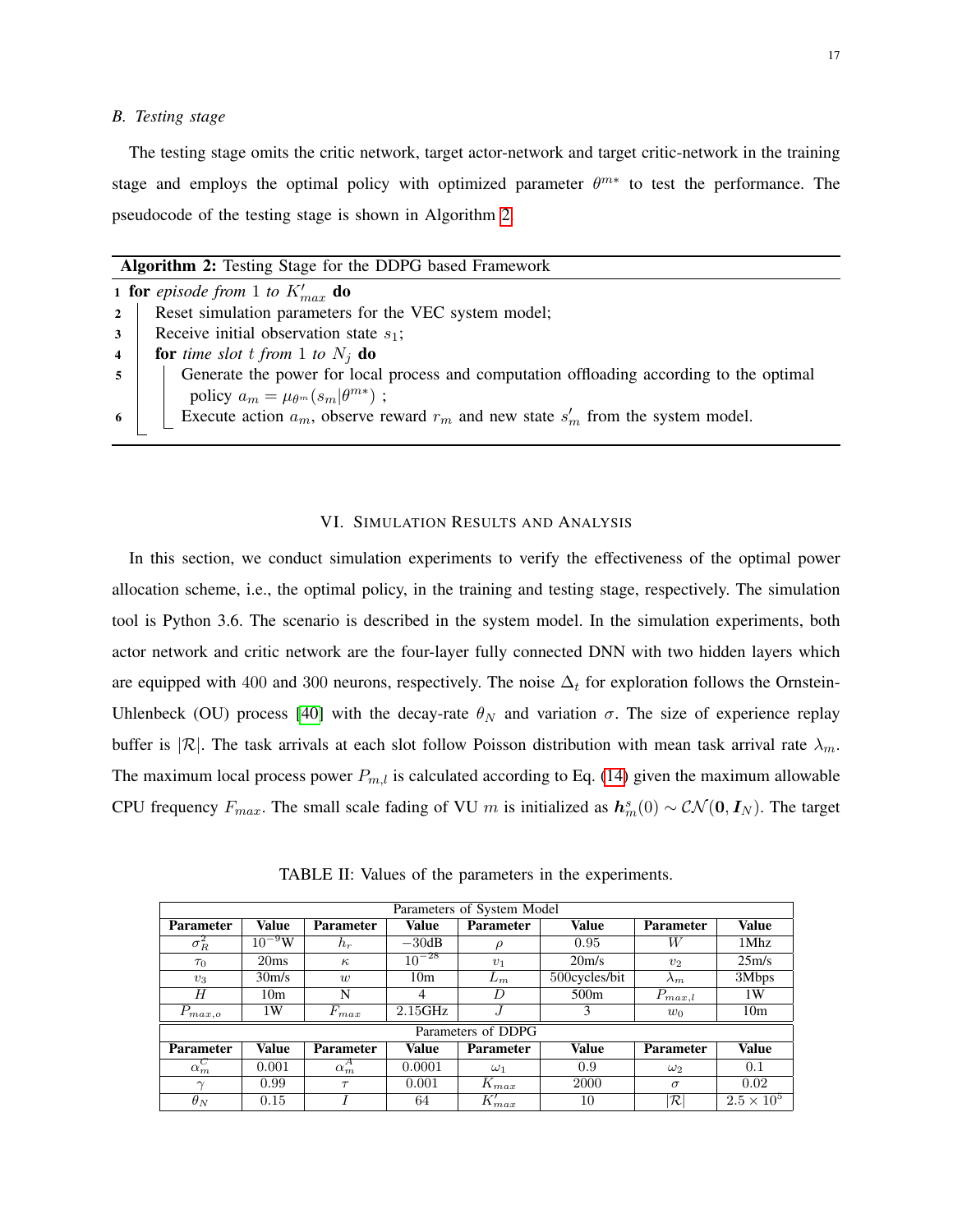# *B. Testing stage*

The testing stage omits the critic network, target actor-network and target critic-network in the training stage and employs the optimal policy with optimized parameter  $\theta^{m*}$  to test the performance. The pseudocode of the testing stage is shown in Algorithm [2.](#page-16-1)

| Algorithm 2: Testing Stage for the DDPG based Framework |  |  |  |  |  |  |  |
|---------------------------------------------------------|--|--|--|--|--|--|--|
|---------------------------------------------------------|--|--|--|--|--|--|--|

<span id="page-16-1"></span>

| <b>1 for</b> episode from 1 to $K'_{max}$ <b>do</b> |                                                                                          |  |  |  |  |  |
|-----------------------------------------------------|------------------------------------------------------------------------------------------|--|--|--|--|--|
| $2^{\circ}$                                         | Reset simulation parameters for the VEC system model;                                    |  |  |  |  |  |
| 3 <sup>1</sup>                                      | Receive initial observation state $s_1$ ;                                                |  |  |  |  |  |
| $\overline{4}$                                      | <b>for</b> time slot t from 1 to $N_i$ <b>do</b>                                         |  |  |  |  |  |
| $5^{\circ}$                                         | Generate the power for local process and computation offloading according to the optimal |  |  |  |  |  |
|                                                     | policy $a_m = \mu_{\theta^m}(s_m \theta^{m*})$ ;                                         |  |  |  |  |  |
| 6                                                   | Execute action $a_m$ , observe reward $r_m$ and new state $s'_m$ from the system model.  |  |  |  |  |  |
|                                                     |                                                                                          |  |  |  |  |  |

# VI. SIMULATION RESULTS AND ANALYSIS

<span id="page-16-0"></span>In this section, we conduct simulation experiments to verify the effectiveness of the optimal power allocation scheme, i.e., the optimal policy, in the training and testing stage, respectively. The simulation tool is Python 3.6. The scenario is described in the system model. In the simulation experiments, both actor network and critic network are the four-layer fully connected DNN with two hidden layers which are equipped with 400 and 300 neurons, respectively. The noise  $\Delta_t$  for exploration follows the Ornstein-Uhlenbeck (OU) process [\[40\]](#page-25-2) with the decay-rate  $\theta_N$  and variation  $\sigma$ . The size of experience replay buffer is  $|\mathcal{R}|$ . The task arrivals at each slot follow Poisson distribution with mean task arrival rate  $\lambda_m$ . The maximum local process power  $P_{m,l}$  is calculated according to Eq. [\(14\)](#page-9-0) given the maximum allowable CPU frequency  $F_{max}$ . The small scale fading of VU m is initialized as  $h_m^s(0) \sim \mathcal{CN}(\mathbf{0}, I_N)$ . The target

<span id="page-16-2"></span>

| Parameters of System Model |                    |                  |                 |                  |                    |                  |                     |  |
|----------------------------|--------------------|------------------|-----------------|------------------|--------------------|------------------|---------------------|--|
| <b>Parameter</b>           | Value              | <b>Parameter</b> | Value           | <b>Parameter</b> | Value              | <b>Parameter</b> | Value               |  |
| $\sigma_R^2$               | $10^{-9}$ W        | $h_r$            | $-30dB$         | $\rho$           | 0.95               | W                | 1Mhz                |  |
| $\tau_0$                   | 20ms               | $\kappa$         | $10^{-28}$      | $v_1$            | 20 <sub>m</sub> /s | v <sub>2</sub>   | 25m/s               |  |
| $v_3$                      | 30 <sub>m</sub> /s | $\overline{w}$   | 10 <sub>m</sub> | $L_m$            | 500cycles/bit      | $\lambda_m$      | 3Mbps               |  |
| H                          | 10 <sub>m</sub>    | N                | 4               | D                | 500 <sub>m</sub>   | $P_{max,l}$      | 1W                  |  |
| $P_{max,o}$                | 1W                 | $F_{max}$        | 2.15GHz         |                  | 3                  | $w_0$            | 10 <sub>m</sub>     |  |
| Parameters of DDPG         |                    |                  |                 |                  |                    |                  |                     |  |
| <b>Parameter</b>           | Value              | <b>Parameter</b> | Value           | <b>Parameter</b> | <b>Value</b>       | <b>Parameter</b> | Value               |  |
| $\overline{\alpha}_m^C$    | 0.001              | $\alpha_m^A$     | 0.0001          | $\omega_1$       | 0.9                | $\omega_2$       | 0.1                 |  |
| $\sim$                     | 0.99               | $\tau$           | 0.001           | $K_{max}$        | 2000               | $\sigma$         | 0.02                |  |
| $\theta_N$                 | 0.15               |                  | 64              | $K'_{max}$       | 10                 | $\cal R $        | $2.5 \times 10^{5}$ |  |

TABLE II: Values of the parameters in the experiments.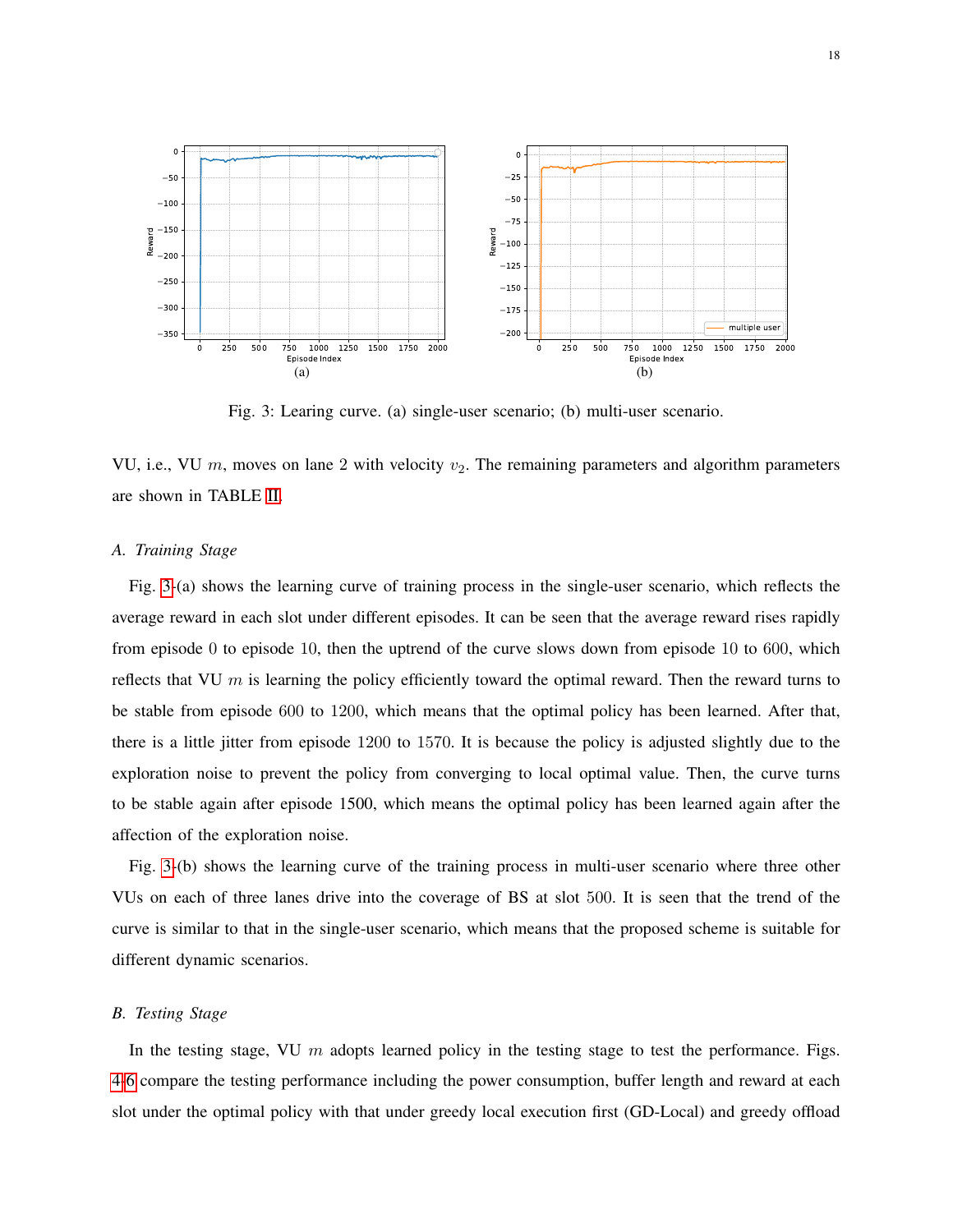<span id="page-17-0"></span>

Fig. 3: Learing curve. (a) single-user scenario; (b) multi-user scenario.

VU, i.e., VU  $m$ , moves on lane 2 with velocity  $v_2$ . The remaining parameters and algorithm parameters are shown in TABLE [II.](#page-16-2)

#### *A. Training Stage*

Fig. [3-](#page-17-0)(a) shows the learning curve of training process in the single-user scenario, which reflects the average reward in each slot under different episodes. It can be seen that the average reward rises rapidly from episode 0 to episode 10, then the uptrend of the curve slows down from episode 10 to 600, which reflects that VU  $m$  is learning the policy efficiently toward the optimal reward. Then the reward turns to be stable from episode 600 to 1200, which means that the optimal policy has been learned. After that, there is a little jitter from episode 1200 to 1570. It is because the policy is adjusted slightly due to the exploration noise to prevent the policy from converging to local optimal value. Then, the curve turns to be stable again after episode 1500, which means the optimal policy has been learned again after the affection of the exploration noise.

Fig. [3-](#page-17-0)(b) shows the learning curve of the training process in multi-user scenario where three other VUs on each of three lanes drive into the coverage of BS at slot 500. It is seen that the trend of the curve is similar to that in the single-user scenario, which means that the proposed scheme is suitable for different dynamic scenarios.

# *B. Testing Stage*

In the testing stage, VU  $m$  adopts learned policy in the testing stage to test the performance. Figs. [4](#page-18-0)[-6](#page-20-0) compare the testing performance including the power consumption, buffer length and reward at each slot under the optimal policy with that under greedy local execution first (GD-Local) and greedy offload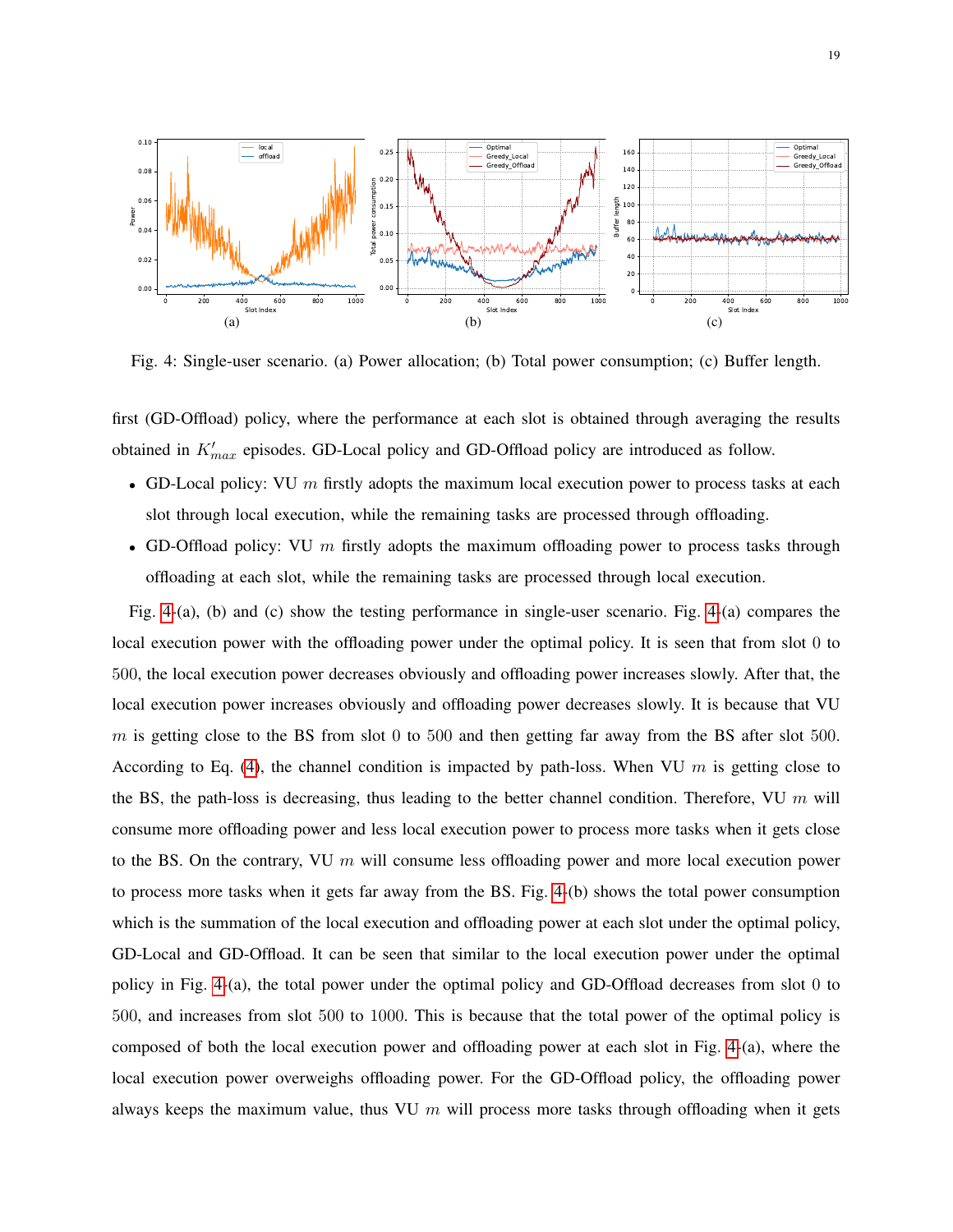<span id="page-18-0"></span>

Fig. 4: Single-user scenario. (a) Power allocation; (b) Total power consumption; (c) Buffer length.

first (GD-Offload) policy, where the performance at each slot is obtained through averaging the results obtained in  $K'_{max}$  episodes. GD-Local policy and GD-Offload policy are introduced as follow.

- GD-Local policy: VU  $m$  firstly adopts the maximum local execution power to process tasks at each slot through local execution, while the remaining tasks are processed through offloading.
- GD-Offload policy: VU  $m$  firstly adopts the maximum offloading power to process tasks through offloading at each slot, while the remaining tasks are processed through local execution.

Fig. [4-](#page-18-0)(a), (b) and (c) show the testing performance in single-user scenario. Fig. [4-](#page-18-0)(a) compares the local execution power with the offloading power under the optimal policy. It is seen that from slot 0 to 500, the local execution power decreases obviously and offloading power increases slowly. After that, the local execution power increases obviously and offloading power decreases slowly. It is because that VU  $m$  is getting close to the BS from slot 0 to 500 and then getting far away from the BS after slot 500. According to Eq. [\(4\)](#page-7-1), the channel condition is impacted by path-loss. When VU  $m$  is getting close to the BS, the path-loss is decreasing, thus leading to the better channel condition. Therefore, VU  $m$  will consume more offloading power and less local execution power to process more tasks when it gets close to the BS. On the contrary, VU  $m$  will consume less offloading power and more local execution power to process more tasks when it gets far away from the BS. Fig. [4-](#page-18-0)(b) shows the total power consumption which is the summation of the local execution and offloading power at each slot under the optimal policy, GD-Local and GD-Offload. It can be seen that similar to the local execution power under the optimal policy in Fig. [4-](#page-18-0)(a), the total power under the optimal policy and GD-Offload decreases from slot 0 to 500, and increases from slot 500 to 1000. This is because that the total power of the optimal policy is composed of both the local execution power and offloading power at each slot in Fig. [4-](#page-18-0)(a), where the local execution power overweighs offloading power. For the GD-Offload policy, the offloading power always keeps the maximum value, thus VU  $m$  will process more tasks through offloading when it gets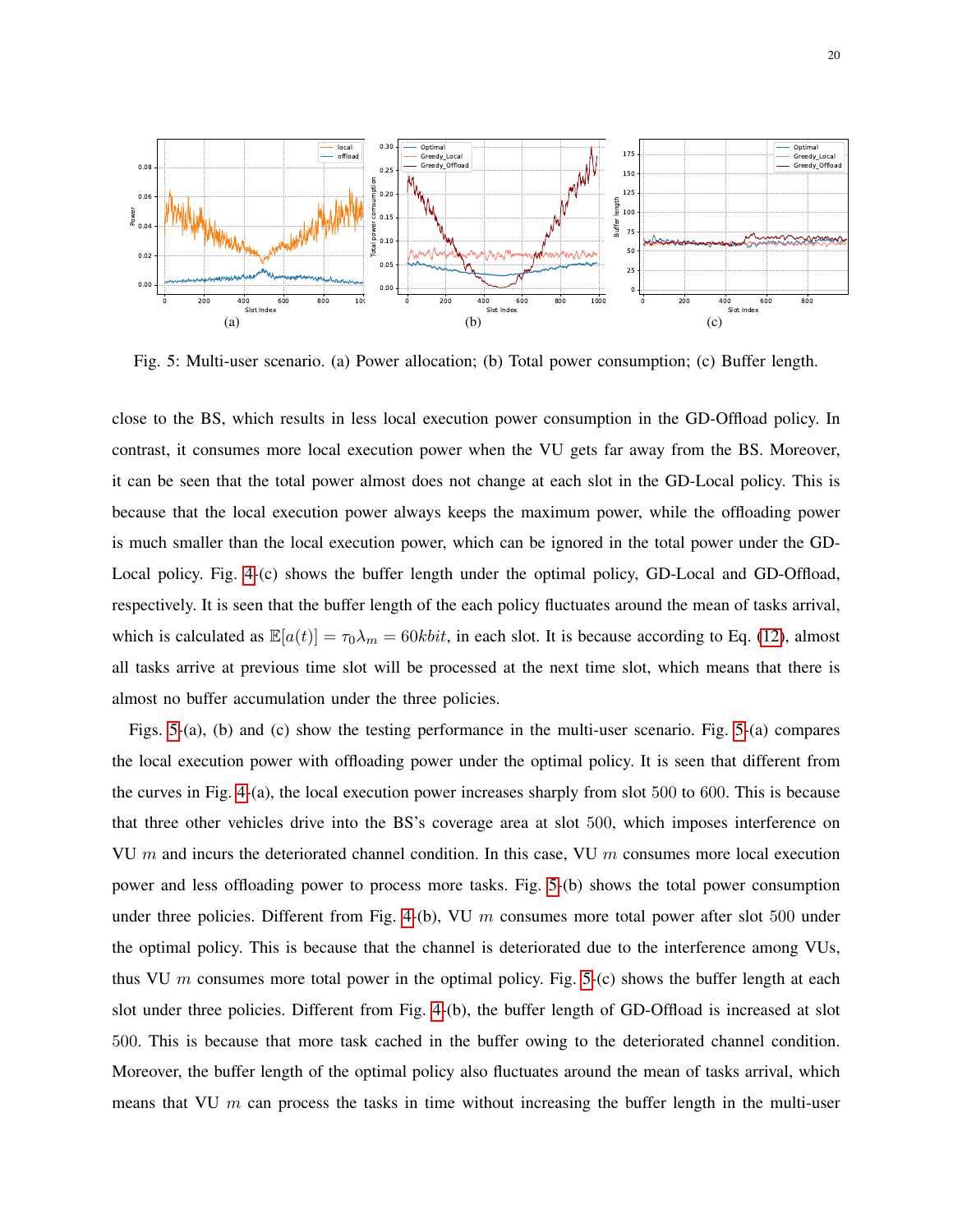<span id="page-19-0"></span>

Fig. 5: Multi-user scenario. (a) Power allocation; (b) Total power consumption; (c) Buffer length.

close to the BS, which results in less local execution power consumption in the GD-Offload policy. In contrast, it consumes more local execution power when the VU gets far away from the BS. Moreover, it can be seen that the total power almost does not change at each slot in the GD-Local policy. This is because that the local execution power always keeps the maximum power, while the offloading power is much smaller than the local execution power, which can be ignored in the total power under the GD-Local policy. Fig. [4-](#page-18-0)(c) shows the buffer length under the optimal policy, GD-Local and GD-Offload, respectively. It is seen that the buffer length of the each policy fluctuates around the mean of tasks arrival, which is calculated as  $\mathbb{E}[a(t)] = \tau_0 \lambda_m = 60 \text{kbit}$ , in each slot. It is because according to Eq. [\(12\)](#page-9-1), almost all tasks arrive at previous time slot will be processed at the next time slot, which means that there is almost no buffer accumulation under the three policies.

Figs. [5-](#page-19-0)(a), (b) and (c) show the testing performance in the multi-user scenario. Fig. [5-](#page-19-0)(a) compares the local execution power with offloading power under the optimal policy. It is seen that different from the curves in Fig. [4-](#page-18-0)(a), the local execution power increases sharply from slot 500 to 600. This is because that three other vehicles drive into the BS's coverage area at slot 500, which imposes interference on VU  $m$  and incurs the deteriorated channel condition. In this case, VU  $m$  consumes more local execution power and less offloading power to process more tasks. Fig. [5-](#page-19-0)(b) shows the total power consumption under three policies. Different from Fig. [4-](#page-18-0)(b), VU  $m$  consumes more total power after slot 500 under the optimal policy. This is because that the channel is deteriorated due to the interference among VUs, thus VU m consumes more total power in the optimal policy. Fig. [5-](#page-19-0)(c) shows the buffer length at each slot under three policies. Different from Fig. [4-](#page-18-0)(b), the buffer length of GD-Offload is increased at slot 500. This is because that more task cached in the buffer owing to the deteriorated channel condition. Moreover, the buffer length of the optimal policy also fluctuates around the mean of tasks arrival, which means that VU  $m$  can process the tasks in time without increasing the buffer length in the multi-user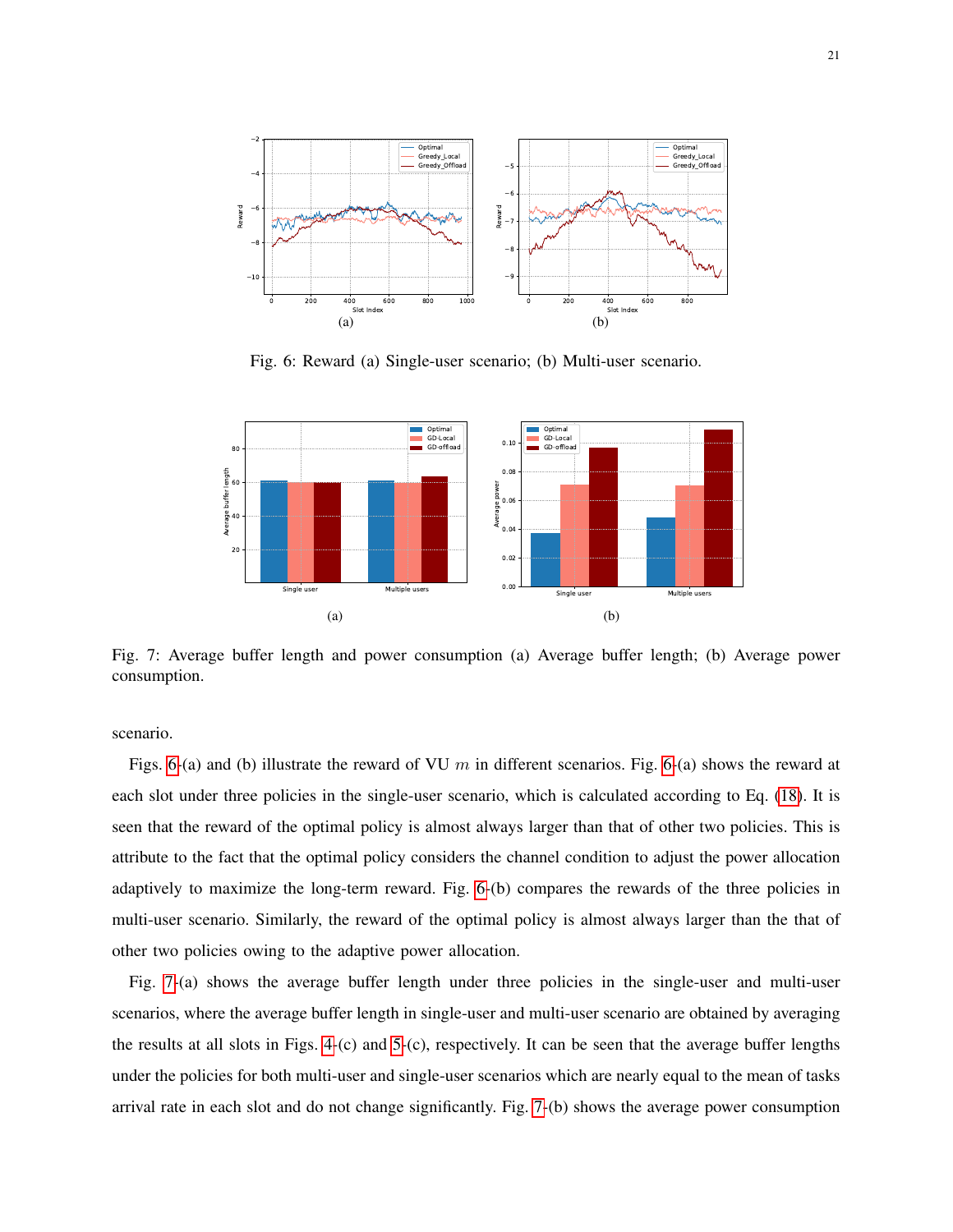<span id="page-20-0"></span>

Fig. 6: Reward (a) Single-user scenario; (b) Multi-user scenario.

<span id="page-20-1"></span>

Fig. 7: Average buffer length and power consumption (a) Average buffer length; (b) Average power consumption.

scenario.

Figs. [6-](#page-20-0)(a) and (b) illustrate the reward of VU m in different scenarios. Fig. 6-(a) shows the reward at each slot under three policies in the single-user scenario, which is calculated according to Eq. [\(18\)](#page-11-2). It is seen that the reward of the optimal policy is almost always larger than that of other two policies. This is attribute to the fact that the optimal policy considers the channel condition to adjust the power allocation adaptively to maximize the long-term reward. Fig. [6-](#page-20-0)(b) compares the rewards of the three policies in multi-user scenario. Similarly, the reward of the optimal policy is almost always larger than the that of other two policies owing to the adaptive power allocation.

Fig. [7-](#page-20-1)(a) shows the average buffer length under three policies in the single-user and multi-user scenarios, where the average buffer length in single-user and multi-user scenario are obtained by averaging the results at all slots in Figs. [4-](#page-18-0)(c) and [5-](#page-19-0)(c), respectively. It can be seen that the average buffer lengths under the policies for both multi-user and single-user scenarios which are nearly equal to the mean of tasks arrival rate in each slot and do not change significantly. Fig. [7-](#page-20-1)(b) shows the average power consumption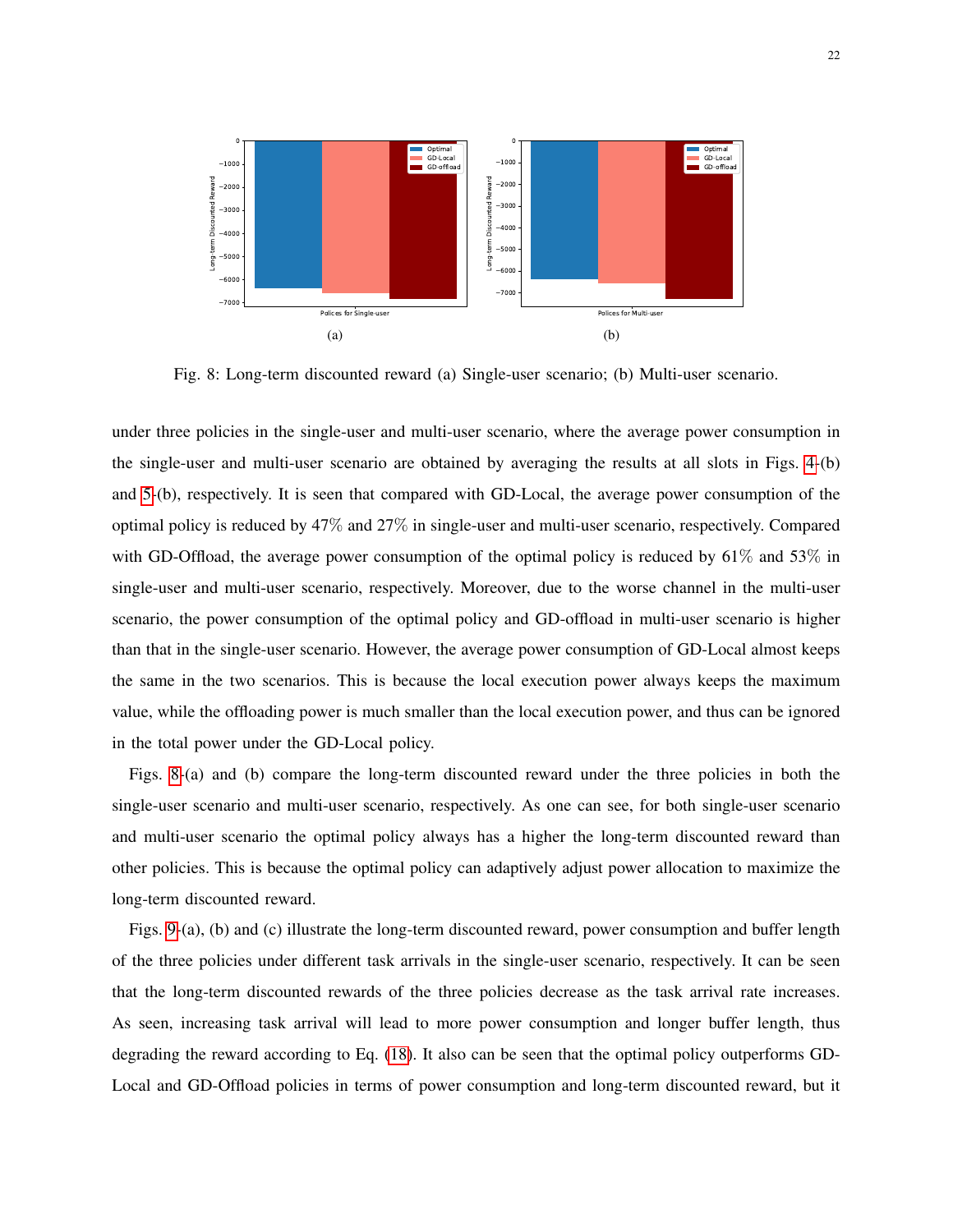<span id="page-21-0"></span>

Fig. 8: Long-term discounted reward (a) Single-user scenario; (b) Multi-user scenario.

under three policies in the single-user and multi-user scenario, where the average power consumption in the single-user and multi-user scenario are obtained by averaging the results at all slots in Figs. [4-](#page-18-0)(b) and [5-](#page-19-0)(b), respectively. It is seen that compared with GD-Local, the average power consumption of the optimal policy is reduced by 47% and 27% in single-user and multi-user scenario, respectively. Compared with GD-Offload, the average power consumption of the optimal policy is reduced by 61% and 53% in single-user and multi-user scenario, respectively. Moreover, due to the worse channel in the multi-user scenario, the power consumption of the optimal policy and GD-offload in multi-user scenario is higher than that in the single-user scenario. However, the average power consumption of GD-Local almost keeps the same in the two scenarios. This is because the local execution power always keeps the maximum value, while the offloading power is much smaller than the local execution power, and thus can be ignored in the total power under the GD-Local policy.

Figs. [8-](#page-21-0)(a) and (b) compare the long-term discounted reward under the three policies in both the single-user scenario and multi-user scenario, respectively. As one can see, for both single-user scenario and multi-user scenario the optimal policy always has a higher the long-term discounted reward than other policies. This is because the optimal policy can adaptively adjust power allocation to maximize the long-term discounted reward.

Figs. [9-](#page-22-1)(a), (b) and (c) illustrate the long-term discounted reward, power consumption and buffer length of the three policies under different task arrivals in the single-user scenario, respectively. It can be seen that the long-term discounted rewards of the three policies decrease as the task arrival rate increases. As seen, increasing task arrival will lead to more power consumption and longer buffer length, thus degrading the reward according to Eq. [\(18\)](#page-11-2). It also can be seen that the optimal policy outperforms GD-Local and GD-Offload policies in terms of power consumption and long-term discounted reward, but it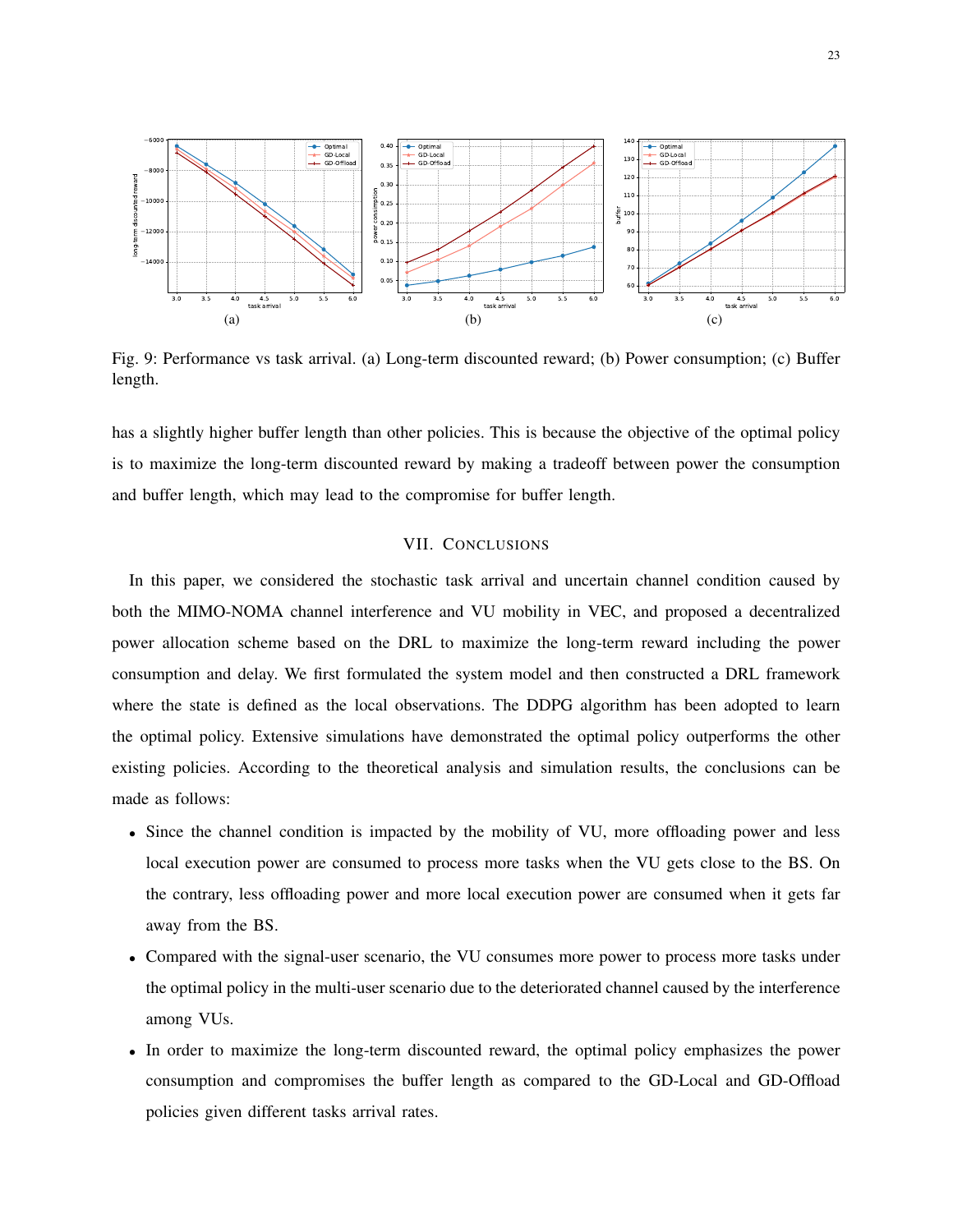<span id="page-22-1"></span>

Fig. 9: Performance vs task arrival. (a) Long-term discounted reward; (b) Power consumption; (c) Buffer length.

has a slightly higher buffer length than other policies. This is because the objective of the optimal policy is to maximize the long-term discounted reward by making a tradeoff between power the consumption and buffer length, which may lead to the compromise for buffer length.

# VII. CONCLUSIONS

<span id="page-22-0"></span>In this paper, we considered the stochastic task arrival and uncertain channel condition caused by both the MIMO-NOMA channel interference and VU mobility in VEC, and proposed a decentralized power allocation scheme based on the DRL to maximize the long-term reward including the power consumption and delay. We first formulated the system model and then constructed a DRL framework where the state is defined as the local observations. The DDPG algorithm has been adopted to learn the optimal policy. Extensive simulations have demonstrated the optimal policy outperforms the other existing policies. According to the theoretical analysis and simulation results, the conclusions can be made as follows:

- Since the channel condition is impacted by the mobility of VU, more offloading power and less local execution power are consumed to process more tasks when the VU gets close to the BS. On the contrary, less offloading power and more local execution power are consumed when it gets far away from the BS.
- Compared with the signal-user scenario, the VU consumes more power to process more tasks under the optimal policy in the multi-user scenario due to the deteriorated channel caused by the interference among VUs.
- In order to maximize the long-term discounted reward, the optimal policy emphasizes the power consumption and compromises the buffer length as compared to the GD-Local and GD-Offload policies given different tasks arrival rates.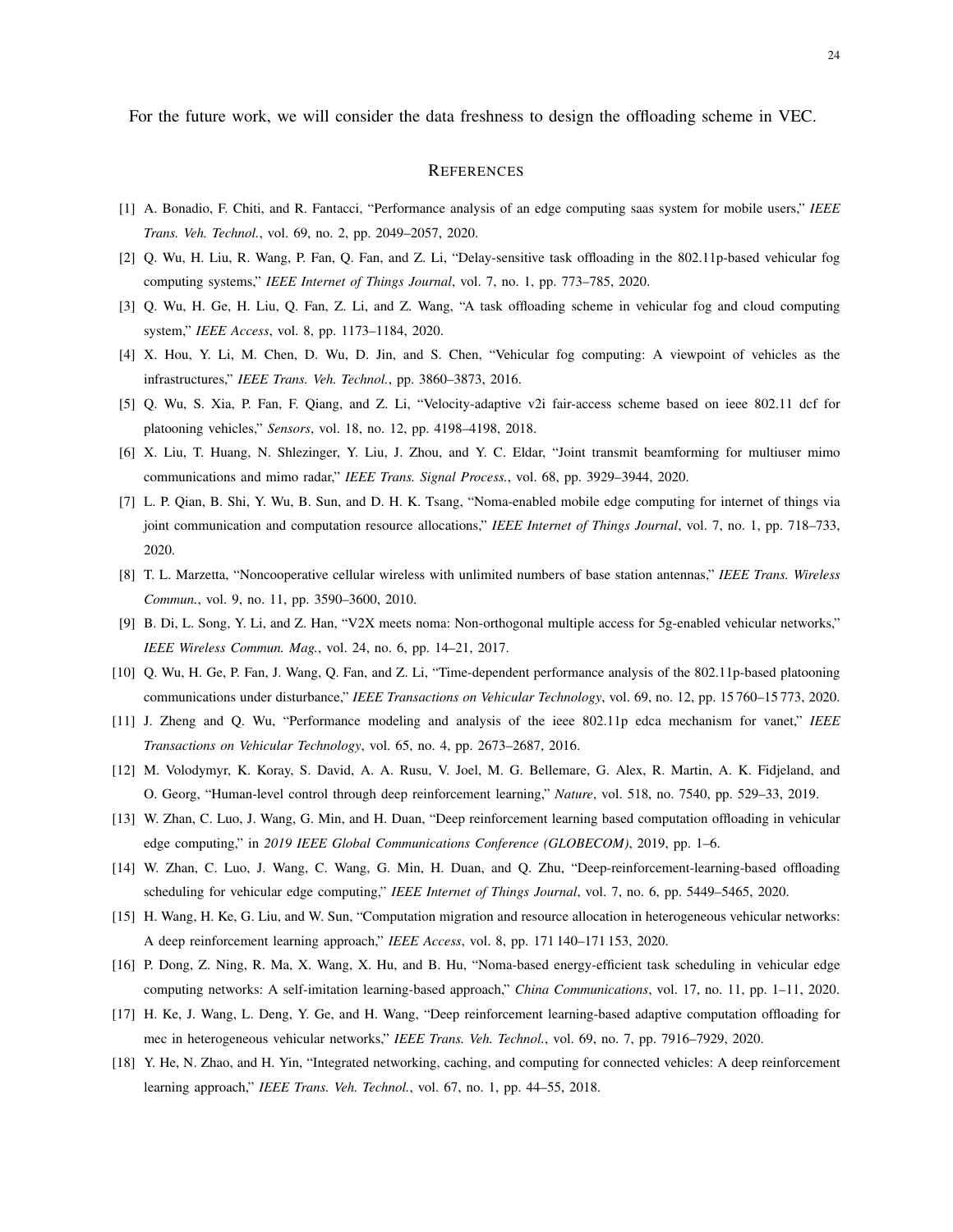For the future work, we will consider the data freshness to design the offloading scheme in VEC.

# **REFERENCES**

- <span id="page-23-0"></span>[1] A. Bonadio, F. Chiti, and R. Fantacci, "Performance analysis of an edge computing saas system for mobile users," *IEEE Trans. Veh. Technol.*, vol. 69, no. 2, pp. 2049–2057, 2020.
- <span id="page-23-1"></span>[2] Q. Wu, H. Liu, R. Wang, P. Fan, Q. Fan, and Z. Li, "Delay-sensitive task offloading in the 802.11p-based vehicular fog computing systems," *IEEE Internet of Things Journal*, vol. 7, no. 1, pp. 773–785, 2020.
- <span id="page-23-2"></span>[3] Q. Wu, H. Ge, H. Liu, Q. Fan, Z. Li, and Z. Wang, "A task offloading scheme in vehicular fog and cloud computing system," *IEEE Access*, vol. 8, pp. 1173–1184, 2020.
- <span id="page-23-3"></span>[4] X. Hou, Y. Li, M. Chen, D. Wu, D. Jin, and S. Chen, "Vehicular fog computing: A viewpoint of vehicles as the infrastructures," *IEEE Trans. Veh. Technol.*, pp. 3860–3873, 2016.
- <span id="page-23-4"></span>[5] Q. Wu, S. Xia, P. Fan, F. Qiang, and Z. Li, "Velocity-adaptive v2i fair-access scheme based on ieee 802.11 dcf for platooning vehicles," *Sensors*, vol. 18, no. 12, pp. 4198–4198, 2018.
- <span id="page-23-5"></span>[6] X. Liu, T. Huang, N. Shlezinger, Y. Liu, J. Zhou, and Y. C. Eldar, "Joint transmit beamforming for multiuser mimo communications and mimo radar," *IEEE Trans. Signal Process.*, vol. 68, pp. 3929–3944, 2020.
- [7] L. P. Qian, B. Shi, Y. Wu, B. Sun, and D. H. K. Tsang, "Noma-enabled mobile edge computing for internet of things via joint communication and computation resource allocations," *IEEE Internet of Things Journal*, vol. 7, no. 1, pp. 718–733, 2020.
- [8] T. L. Marzetta, "Noncooperative cellular wireless with unlimited numbers of base station antennas," *IEEE Trans. Wireless Commun.*, vol. 9, no. 11, pp. 3590–3600, 2010.
- <span id="page-23-6"></span>[9] B. Di, L. Song, Y. Li, and Z. Han, "V2X meets noma: Non-orthogonal multiple access for 5g-enabled vehicular networks," *IEEE Wireless Commun. Mag.*, vol. 24, no. 6, pp. 14–21, 2017.
- <span id="page-23-7"></span>[10] Q. Wu, H. Ge, P. Fan, J. Wang, Q. Fan, and Z. Li, "Time-dependent performance analysis of the 802.11p-based platooning communications under disturbance," *IEEE Transactions on Vehicular Technology*, vol. 69, no. 12, pp. 15 760–15 773, 2020.
- <span id="page-23-8"></span>[11] J. Zheng and Q. Wu, "Performance modeling and analysis of the ieee 802.11p edca mechanism for vanet," *IEEE Transactions on Vehicular Technology*, vol. 65, no. 4, pp. 2673–2687, 2016.
- <span id="page-23-9"></span>[12] M. Volodymyr, K. Koray, S. David, A. A. Rusu, V. Joel, M. G. Bellemare, G. Alex, R. Martin, A. K. Fidjeland, and O. Georg, "Human-level control through deep reinforcement learning," *Nature*, vol. 518, no. 7540, pp. 529–33, 2019.
- <span id="page-23-10"></span>[13] W. Zhan, C. Luo, J. Wang, G. Min, and H. Duan, "Deep reinforcement learning based computation offloading in vehicular edge computing," in *2019 IEEE Global Communications Conference (GLOBECOM)*, 2019, pp. 1–6.
- <span id="page-23-14"></span>[14] W. Zhan, C. Luo, J. Wang, C. Wang, G. Min, H. Duan, and Q. Zhu, "Deep-reinforcement-learning-based offloading scheduling for vehicular edge computing," *IEEE Internet of Things Journal*, vol. 7, no. 6, pp. 5449–5465, 2020.
- [15] H. Wang, H. Ke, G. Liu, and W. Sun, "Computation migration and resource allocation in heterogeneous vehicular networks: A deep reinforcement learning approach," *IEEE Access*, vol. 8, pp. 171 140–171 153, 2020.
- <span id="page-23-11"></span>[16] P. Dong, Z. Ning, R. Ma, X. Wang, X. Hu, and B. Hu, "Noma-based energy-efficient task scheduling in vehicular edge computing networks: A self-imitation learning-based approach," *China Communications*, vol. 17, no. 11, pp. 1–11, 2020.
- <span id="page-23-12"></span>[17] H. Ke, J. Wang, L. Deng, Y. Ge, and H. Wang, "Deep reinforcement learning-based adaptive computation offloading for mec in heterogeneous vehicular networks," *IEEE Trans. Veh. Technol.*, vol. 69, no. 7, pp. 7916–7929, 2020.
- <span id="page-23-13"></span>[18] Y. He, N. Zhao, and H. Yin, "Integrated networking, caching, and computing for connected vehicles: A deep reinforcement learning approach," *IEEE Trans. Veh. Technol.*, vol. 67, no. 1, pp. 44–55, 2018.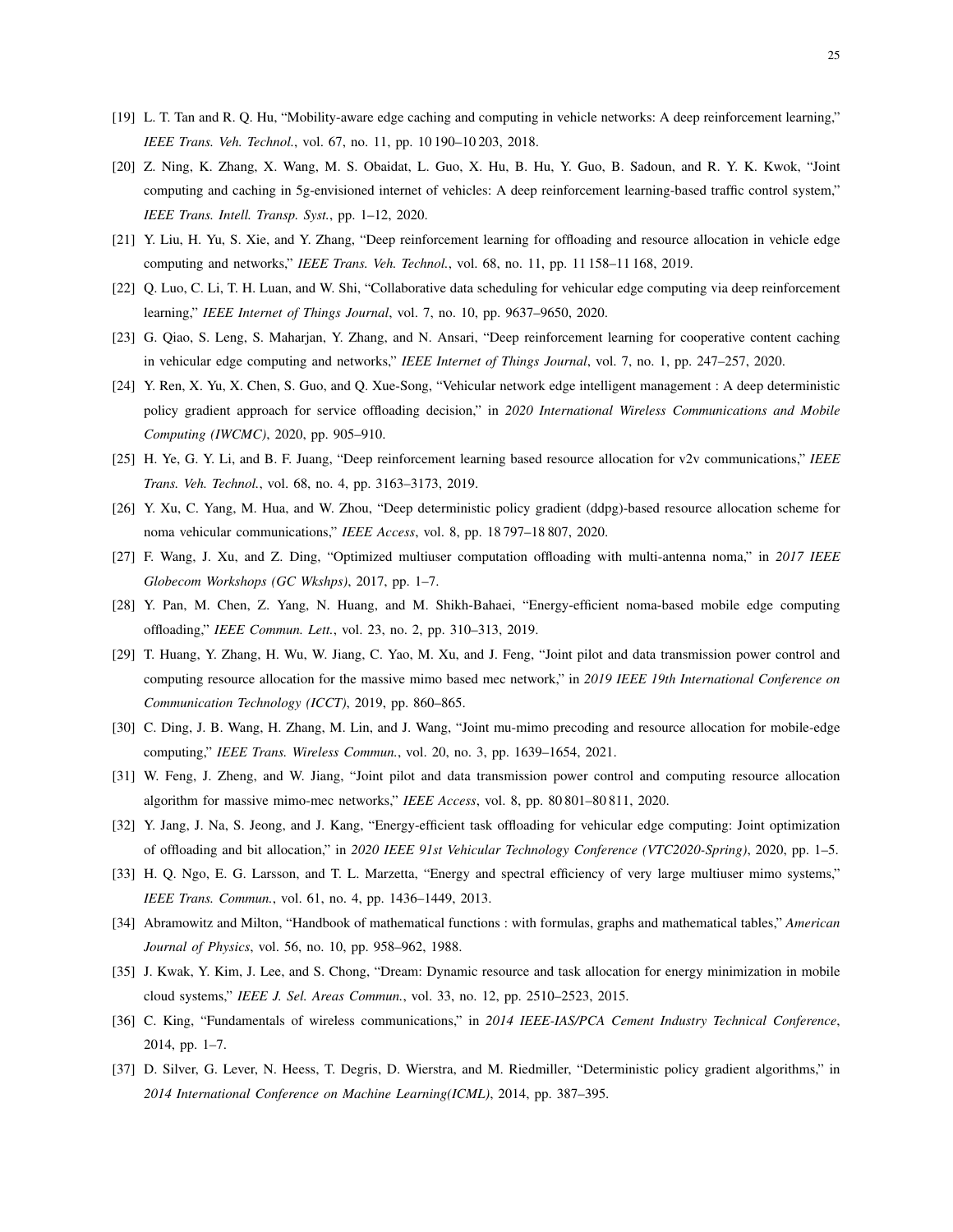- <span id="page-24-8"></span>[19] L. T. Tan and R. Q. Hu, "Mobility-aware edge caching and computing in vehicle networks: A deep reinforcement learning," *IEEE Trans. Veh. Technol.*, vol. 67, no. 11, pp. 10 190–10 203, 2018.
- <span id="page-24-9"></span>[20] Z. Ning, K. Zhang, X. Wang, M. S. Obaidat, L. Guo, X. Hu, B. Hu, Y. Guo, B. Sadoun, and R. Y. K. Kwok, "Joint computing and caching in 5g-envisioned internet of vehicles: A deep reinforcement learning-based traffic control system," *IEEE Trans. Intell. Transp. Syst.*, pp. 1–12, 2020.
- <span id="page-24-10"></span>[21] Y. Liu, H. Yu, S. Xie, and Y. Zhang, "Deep reinforcement learning for offloading and resource allocation in vehicle edge computing and networks," *IEEE Trans. Veh. Technol.*, vol. 68, no. 11, pp. 11 158–11 168, 2019.
- [22] Q. Luo, C. Li, T. H. Luan, and W. Shi, "Collaborative data scheduling for vehicular edge computing via deep reinforcement learning," *IEEE Internet of Things Journal*, vol. 7, no. 10, pp. 9637–9650, 2020.
- [23] G. Qiao, S. Leng, S. Maharjan, Y. Zhang, and N. Ansari, "Deep reinforcement learning for cooperative content caching in vehicular edge computing and networks," *IEEE Internet of Things Journal*, vol. 7, no. 1, pp. 247–257, 2020.
- <span id="page-24-0"></span>[24] Y. Ren, X. Yu, X. Chen, S. Guo, and Q. Xue-Song, "Vehicular network edge intelligent management : A deep deterministic policy gradient approach for service offloading decision," in *2020 International Wireless Communications and Mobile Computing (IWCMC)*, 2020, pp. 905–910.
- <span id="page-24-1"></span>[25] H. Ye, G. Y. Li, and B. F. Juang, "Deep reinforcement learning based resource allocation for v2v communications," *IEEE Trans. Veh. Technol.*, vol. 68, no. 4, pp. 3163–3173, 2019.
- <span id="page-24-2"></span>[26] Y. Xu, C. Yang, M. Hua, and W. Zhou, "Deep deterministic policy gradient (ddpg)-based resource allocation scheme for noma vehicular communications," *IEEE Access*, vol. 8, pp. 18 797–18 807, 2020.
- <span id="page-24-3"></span>[27] F. Wang, J. Xu, and Z. Ding, "Optimized multiuser computation offloading with multi-antenna noma," in *2017 IEEE Globecom Workshops (GC Wkshps)*, 2017, pp. 1–7.
- <span id="page-24-4"></span>[28] Y. Pan, M. Chen, Z. Yang, N. Huang, and M. Shikh-Bahaei, "Energy-efficient noma-based mobile edge computing offloading," *IEEE Commun. Lett.*, vol. 23, no. 2, pp. 310–313, 2019.
- <span id="page-24-5"></span>[29] T. Huang, Y. Zhang, H. Wu, W. Jiang, C. Yao, M. Xu, and J. Feng, "Joint pilot and data transmission power control and computing resource allocation for the massive mimo based mec network," in *2019 IEEE 19th International Conference on Communication Technology (ICCT)*, 2019, pp. 860–865.
- <span id="page-24-6"></span>[30] C. Ding, J. B. Wang, H. Zhang, M. Lin, and J. Wang, "Joint mu-mimo precoding and resource allocation for mobile-edge computing," *IEEE Trans. Wireless Commun.*, vol. 20, no. 3, pp. 1639–1654, 2021.
- <span id="page-24-7"></span>[31] W. Feng, J. Zheng, and W. Jiang, "Joint pilot and data transmission power control and computing resource allocation algorithm for massive mimo-mec networks," *IEEE Access*, vol. 8, pp. 80 801–80 811, 2020.
- <span id="page-24-11"></span>[32] Y. Jang, J. Na, S. Jeong, and J. Kang, "Energy-efficient task offloading for vehicular edge computing: Joint optimization of offloading and bit allocation," in *2020 IEEE 91st Vehicular Technology Conference (VTC2020-Spring)*, 2020, pp. 1–5.
- <span id="page-24-12"></span>[33] H. Q. Ngo, E. G. Larsson, and T. L. Marzetta, "Energy and spectral efficiency of very large multiuser mimo systems," *IEEE Trans. Commun.*, vol. 61, no. 4, pp. 1436–1449, 2013.
- <span id="page-24-13"></span>[34] Abramowitz and Milton, "Handbook of mathematical functions : with formulas, graphs and mathematical tables," *American Journal of Physics*, vol. 56, no. 10, pp. 958–962, 1988.
- <span id="page-24-14"></span>[35] J. Kwak, Y. Kim, J. Lee, and S. Chong, "Dream: Dynamic resource and task allocation for energy minimization in mobile cloud systems," *IEEE J. Sel. Areas Commun.*, vol. 33, no. 12, pp. 2510–2523, 2015.
- <span id="page-24-15"></span>[36] C. King, "Fundamentals of wireless communications," in *2014 IEEE-IAS/PCA Cement Industry Technical Conference*, 2014, pp. 1–7.
- <span id="page-24-16"></span>[37] D. Silver, G. Lever, N. Heess, T. Degris, D. Wierstra, and M. Riedmiller, "Deterministic policy gradient algorithms," in *2014 International Conference on Machine Learning(ICML)*, 2014, pp. 387–395.